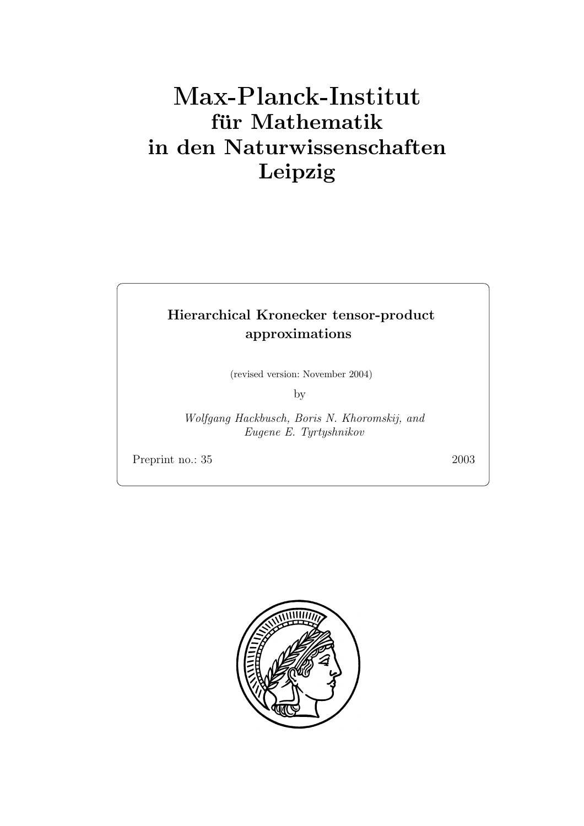# **fur Mathematik ¨ in den Naturwissenschaften Leipzig**

# **Hierarchical Kronecker tensor-product approximations**

(revised version: November 2004)

by

*Wolfgang Hackbusch, Boris N. Khoromskij, and Eugene E. Tyrtyshnikov*

Preprint no.: 35 2003

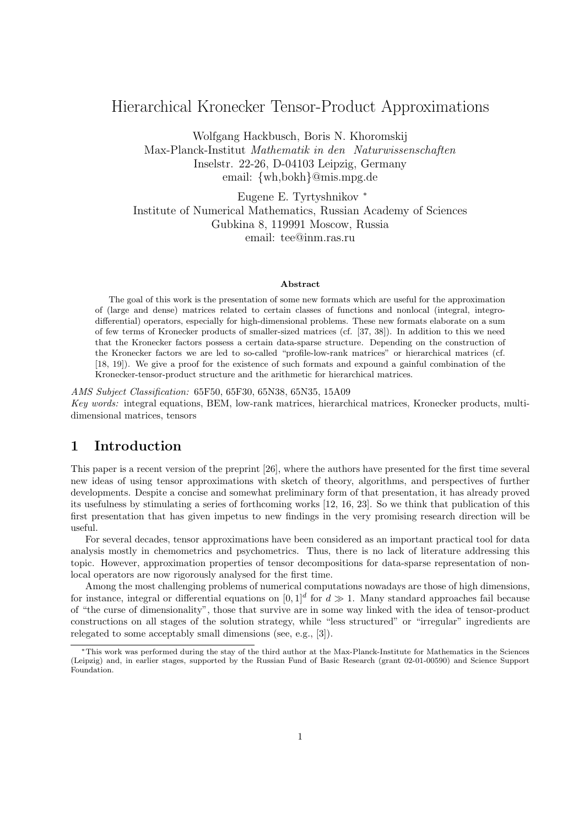## Hierarchical Kronecker Tensor-Product Approximations

Wolfgang Hackbusch, Boris N. Khoromskij Max-Planck-Institut *Mathematik in den Naturwissenschaften* Inselstr. 22-26, D-04103 Leipzig, Germany email: {wh,bokh}@mis.mpg.de

Eugene E. Tyrtyshnikov <sup>∗</sup> Institute of Numerical Mathematics, Russian Academy of Sciences Gubkina 8, 119991 Moscow, Russia email: tee@inm.ras.ru

#### **Abstract**

The goal of this work is the presentation of some new formats which are useful for the approximation of (large and dense) matrices related to certain classes of functions and nonlocal (integral, integrodifferential) operators, especially for high-dimensional problems. These new formats elaborate on a sum of few terms of Kronecker products of smaller-sized matrices (cf. [37, 38]). In addition to this we need that the Kronecker factors possess a certain data-sparse structure. Depending on the construction of the Kronecker factors we are led to so-called "profile-low-rank matrices" or hierarchical matrices (cf. [18, 19]). We give a proof for the existence of such formats and expound a gainful combination of the Kronecker-tensor-product structure and the arithmetic for hierarchical matrices.

*AMS Subject Classification:* 65F50, 65F30, 65N38, 65N35, 15A09 *Key words:* integral equations, BEM, low-rank matrices, hierarchical matrices, Kronecker products, multidimensional matrices, tensors

## **1 Introduction**

This paper is a recent version of the preprint [26], where the authors have presented for the first time several new ideas of using tensor approximations with sketch of theory, algorithms, and perspectives of further developments. Despite a concise and somewhat preliminary form of that presentation, it has already proved its usefulness by stimulating a series of forthcoming works [12, 16, 23]. So we think that publication of this first presentation that has given impetus to new findings in the very promising research direction will be useful.

For several decades, tensor approximations have been considered as an important practical tool for data analysis mostly in chemometrics and psychometrics. Thus, there is no lack of literature addressing this topic. However, approximation properties of tensor decompositions for data-sparse representation of nonlocal operators are now rigorously analysed for the first time.

Among the most challenging problems of numerical computations nowadays are those of high dimensions, for instance, integral or differential equations on  $[0, 1]^d$  for  $d \gg 1$ . Many standard approaches fail because of "the curse of dimensionality", those that survive are in some way linked with the idea of tensor-product constructions on all stages of the solution strategy, while "less structured" or "irregular" ingredients are relegated to some acceptably small dimensions (see, e.g., [3]).

<sup>∗</sup>This work was performed during the stay of the third author at the Max-Planck-Institute for Mathematics in the Sciences (Leipzig) and, in earlier stages, supported by the Russian Fund of Basic Research (grant 02-01-00590) and Science Support Foundation.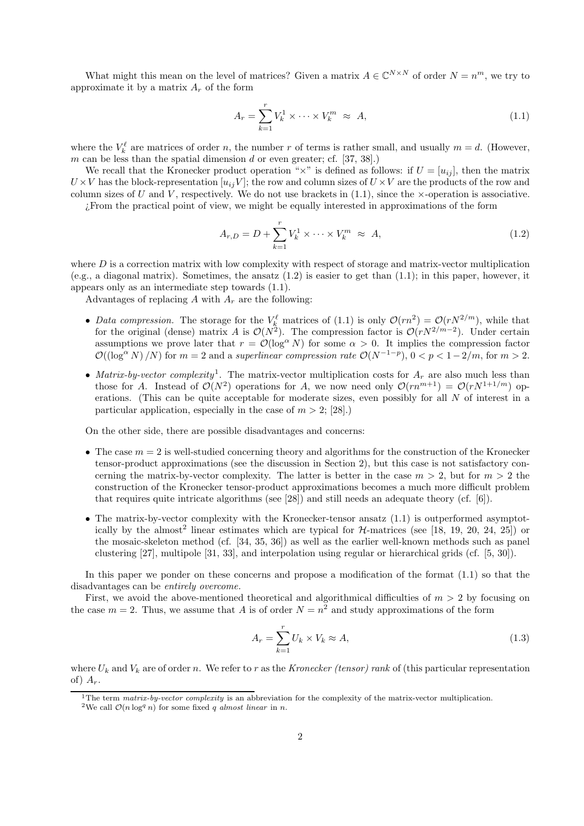What might this mean on the level of matrices? Given a matrix  $A \in \mathbb{C}^{N \times N}$  of order  $N = n^m$ , we try to approximate it by a matrix  $A_r$  of the form

$$
A_r = \sum_{k=1}^r V_k^1 \times \dots \times V_k^m \approx A,
$$
\n(1.1)

where the  $V_k^{\ell}$  are matrices of order n, the number r of terms is rather small, and usually  $m = d$ . (However, m can be less than the spatial dimension d or even greater; cf.  $[37, 38]$ .)

We recall that the Kronecker product operation " $\times$ " is defined as follows: if  $U = [u_{ij}]$ , then the matrix  $U \times V$  has the block-representation  $[u_{ij}V]$ ; the row and column sizes of  $U \times V$  are the products of the row and column sizes of U and V, respectively. We do not use brackets in  $(1.1)$ , since the  $\times$ -operation is associative.

¿From the practical point of view, we might be equally interested in approximations of the form

$$
A_{r,D} = D + \sum_{k=1}^{r} V_k^1 \times \dots \times V_k^m \approx A,
$$
\n(1.2)

where  $D$  is a correction matrix with low complexity with respect of storage and matrix-vector multiplication (e.g., a diagonal matrix). Sometimes, the ansatz  $(1.2)$  is easier to get than  $(1.1)$ ; in this paper, however, it appears only as an intermediate step towards (1.1).

Advantages of replacing A with  $A_r$  are the following:

- *Data compression*. The storage for the  $V_k^{\ell}$  matrices of (1.1) is only  $\mathcal{O}(rn^2) = \mathcal{O}(rN^{2/m})$ , while that for the original (dense) matrix A is  $\mathcal{O}(N^2)$ . The compression factor is  $\mathcal{O}(rN^{2/m-2})$ . Under certain assumptions we prove later that  $r = \mathcal{O}(\log^{\alpha} N)$  for some  $\alpha > 0$ . It implies the compression factor  $\mathcal{O}((\log^{\alpha} N)/N)$  for  $m=2$  and a *superlinear compression rate*  $\mathcal{O}(N^{-1-p})$ ,  $0 < p < 1-2/m$ , for  $m > 2$ .
- *Matrix-by-vector complexity*<sup>1</sup>. The matrix-vector multiplication costs for  $A_r$  are also much less than those for A. Instead of  $\mathcal{O}(N^2)$  operations for A, we now need only  $\mathcal{O}(rn^{m+1}) = \mathcal{O}(rN^{1+1/m})$  operations. (This can be quite acceptable for moderate sizes, even possibly for all N of interest in a particular application, especially in the case of  $m > 2$ ; [28].)

On the other side, there are possible disadvantages and concerns:

- The case  $m = 2$  is well-studied concerning theory and algorithms for the construction of the Kronecker tensor-product approximations (see the discussion in Section 2), but this case is not satisfactory concerning the matrix-by-vector complexity. The latter is better in the case  $m > 2$ , but for  $m > 2$  the construction of the Kronecker tensor-product approximations becomes a much more difficult problem that requires quite intricate algorithms (see [28]) and still needs an adequate theory (cf. [6]).
- The matrix-by-vector complexity with the Kronecker-tensor ansatz (1.1) is outperformed asymptotically by the almost<sup>2</sup> linear estimates which are typical for  $H$ -matrices (see [18, 19, 20, 24, 25]) or the mosaic-skeleton method (cf. [34, 35, 36]) as well as the earlier well-known methods such as panel clustering [27], multipole [31, 33], and interpolation using regular or hierarchical grids (cf. [5, 30]).

In this paper we ponder on these concerns and propose a modification of the format (1.1) so that the disadvantages can be *entirely overcome.*

First, we avoid the above-mentioned theoretical and algorithmical difficulties of  $m > 2$  by focusing on the case  $m = 2$ . Thus, we assume that A is of order  $N = n^2$  and study approximations of the form

$$
A_r = \sum_{k=1}^r U_k \times V_k \approx A,\tag{1.3}
$$

where  $U_k$  and  $V_k$  are of order n. We refer to r as the *Kronecker (tensor) rank* of (this particular representation of)  $A_r$ .

<sup>&</sup>lt;sup>1</sup>The term *matrix-by-vector complexity* is an abbreviation for the complexity of the matrix-vector multiplication.

<sup>&</sup>lt;sup>2</sup>We call  $\mathcal{O}(n \log^q n)$  for some fixed *q almost linear* in *n*.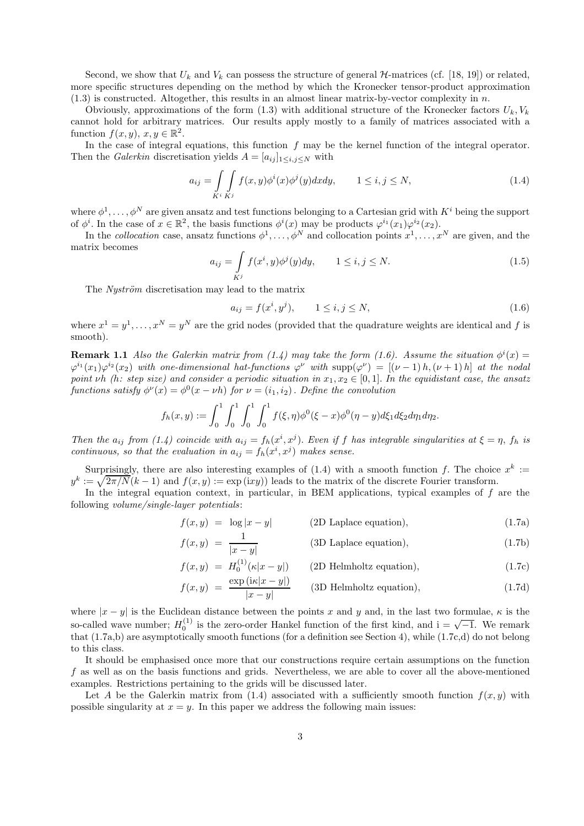Second, we show that  $U_k$  and  $V_k$  can possess the structure of general  $H$ -matrices (cf. [18, 19]) or related, more specific structures depending on the method by which the Kronecker tensor-product approximation  $(1.3)$  is constructed. Altogether, this results in an almost linear matrix-by-vector complexity in n.

Obviously, approximations of the form  $(1.3)$  with additional structure of the Kronecker factors  $U_k, V_k$ cannot hold for arbitrary matrices. Our results apply mostly to a family of matrices associated with a function  $f(x, y), x, y \in \mathbb{R}^2$ .

In the case of integral equations, this function  $f$  may be the kernel function of the integral operator. Then the *Galerkin* discretisation yields  $A = [a_{ij}]_{1 \le i,j \le N}$  with

$$
a_{ij} = \int\limits_{K^i} \int\limits_{K^j} f(x, y) \phi^i(x) \phi^j(y) dx dy, \qquad 1 \le i, j \le N,
$$
\n(1.4)

where  $\phi^1,\ldots,\phi^N$  are given ansatz and test functions belonging to a Cartesian grid with  $K^i$  being the support of  $\phi^i$ . In the case of  $x \in \mathbb{R}^2$ , the basis functions  $\phi^i(x)$  may be products  $\phi^{i_1}(x_1)\phi^{i_2}(x_2)$ .

In the *collocation* case, ansatz functions  $\phi^1, \ldots, \phi^N$  and collocation points  $x^1, \ldots, x^N$  are given, and the matrix becomes

$$
a_{ij} = \int\limits_{K^j} f(x^i, y)\phi^j(y)dy, \qquad 1 \le i, j \le N. \tag{1.5}
$$

The *Nyström* discretisation may lead to the matrix

$$
a_{ij} = f(x^i, y^j), \qquad 1 \le i, j \le N,
$$
\n(1.6)

where  $x^1 = y^1, \ldots, x^N = y^N$  are the grid nodes (provided that the quadrature weights are identical and f is smooth).

**Remark 1.1** *Also the Galerkin matrix from (1.4) may take the form (1.6). Assume the situation*  $\phi^{i}(x)$  =  $\varphi^{i_1}(x_1)\varphi^{i_2}(x_2)$  *with one-dimensional hat-functions*  $\varphi^{\nu}$  *with*  $\text{supp}(\varphi^{\nu}) = [(\nu-1)h,(\nu+1)h]$  *at the nodal point*  $\nu h$  *(h: step size)* and consider a periodic situation in  $x_1, x_2 \in [0, 1]$ . In the equidistant case, the ansatz *functions satisfy*  $\phi^{\nu}(x) = \phi^0(x - \nu h)$  *for*  $\nu = (i_1, i_2)$ . *Define the convolution* 

$$
f_h(x,y) := \int_0^1 \int_0^1 \int_0^1 \int_0^1 f(\xi,\eta)\phi^0(\xi-x)\phi^0(\eta-y)d\xi_1d\xi_2d\eta_1d\eta_2.
$$

*Then the*  $a_{ij}$  *from* (1.4) coincide with  $a_{ij} = f_h(x^i, x^j)$ . *Even if* f has integrable singularities at  $\xi = \eta$ ,  $f_h$  is *continuous, so that the evaluation in*  $a_{ij} = f_h(x^i, x^j)$  *makes sense.* 

Surprisingly, there are also interesting examples of (1.4) with a smooth function f. The choice  $x^k :=$  $y^k := \sqrt{2\pi/N}(k-1)$  and  $f(x, y) := \exp(ixy))$  leads to the matrix of the discrete Fourier transform.

In the integral equation context, in particular, in BEM applications, typical examples of  $f$  are the following *volume/single-layer potentials*:

$$
f(x,y) = \log|x-y|
$$
 (2D Laplace equation), (1.7a)

$$
f(x,y) = \frac{1}{|x-y|}
$$
 (3D Laplace equation), (1.7b)

$$
f(x,y) = H_0^{(1)}(\kappa|x-y|)
$$
 (2D Helmholtz equation), (1.7c)

$$
f(x,y) = \frac{\exp(i\kappa|x-y|)}{|x-y|}
$$
 (3D Helmholtz equation), (1.7d)

where  $|x - y|$  is the Euclidean distance between the points x and y and, in the last two formulae,  $\kappa$  is the so-called wave number;  $H_0^{(1)}$  is the zero-order Hankel function of the first kind, and  $i = \sqrt{-1}$ . We remark that  $(1.75 \text{ h})$  are assumpted in equality smooth functions (for a definition see Section 4), while  $(1.75 \text{$ that (1.7a,b) are asymptotically smooth functions (for a definition see Section 4), while (1.7c,d) do not belong to this class.

It should be emphasised once more that our constructions require certain assumptions on the function f as well as on the basis functions and grids. Nevertheless, we are able to cover all the above-mentioned examples. Restrictions pertaining to the grids will be discussed later.

Let A be the Galerkin matrix from  $(1.4)$  associated with a sufficiently smooth function  $f(x, y)$  with possible singularity at  $x = y$ . In this paper we address the following main issues: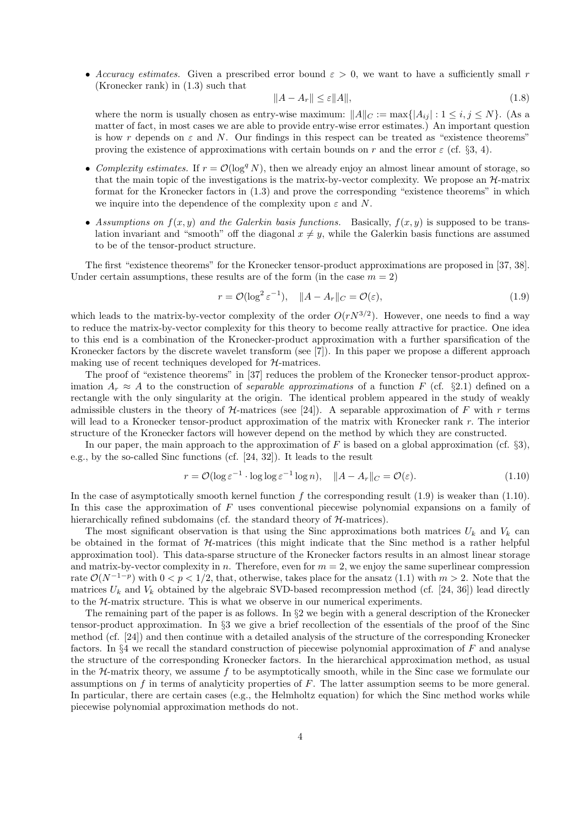• *Accuracy estimates.* Given a prescribed error bound  $\varepsilon > 0$ , we want to have a sufficiently small r (Kronecker rank) in (1.3) such that

$$
||A - A_r|| \le \varepsilon ||A||,\tag{1.8}
$$

where the norm is usually chosen as entry-wise maximum:  $||A||_C := \max\{|A_{ij}| : 1 \le i, j \le N\}$ . (As a matter of fact, in most cases we are able to provide entry-wise error estimates.) An important question is how r depends on  $\varepsilon$  and N. Our findings in this respect can be treated as "existence theorems" proving the existence of approximations with certain bounds on r and the error  $\varepsilon$  (cf. §3, 4).

- *Complexity estimates.* If  $r = \mathcal{O}(\log^q N)$ , then we already enjoy an almost linear amount of storage, so that the main topic of the investigations is the matrix-by-vector complexity. We propose an  $\mathcal{H}$ -matrix format for the Kronecker factors in (1.3) and prove the corresponding "existence theorems" in which we inquire into the dependence of the complexity upon  $\varepsilon$  and N.
- Assumptions on  $f(x, y)$  and the Galerkin basis functions. Basically,  $f(x, y)$  is supposed to be translation invariant and "smooth" off the diagonal  $x \neq y$ , while the Galerkin basis functions are assumed to be of the tensor-product structure.

The first "existence theorems" for the Kronecker tensor-product approximations are proposed in [37, 38]. Under certain assumptions, these results are of the form (in the case  $m = 2$ )

$$
r = \mathcal{O}(\log^2 \varepsilon^{-1}), \quad \|A - A_r\|_C = \mathcal{O}(\varepsilon), \tag{1.9}
$$

which leads to the matrix-by-vector complexity of the order  $O(rN^{3/2})$ . However, one needs to find a way to reduce the matrix-by-vector complexity for this theory to become really attractive for practice. One idea to this end is a combination of the Kronecker-product approximation with a further sparsification of the Kronecker factors by the discrete wavelet transform (see [7]). In this paper we propose a different approach making use of recent techniques developed for H-matrices.

The proof of "existence theorems" in [37] reduces the problem of the Kronecker tensor-product approximation  $A_r \approx A$  to the construction of *separable approximations* of a function F (cf. §2.1) defined on a rectangle with the only singularity at the origin. The identical problem appeared in the study of weakly admissible clusters in the theory of  $H$ -matrices (see [24]). A separable approximation of F with r terms will lead to a Kronecker tensor-product approximation of the matrix with Kronecker rank r. The interior structure of the Kronecker factors will however depend on the method by which they are constructed.

In our paper, the main approach to the approximation of F is based on a global approximation (cf.  $\S 3$ ), e.g., by the so-called Sinc functions (cf. [24, 32]). It leads to the result

$$
r = \mathcal{O}(\log \varepsilon^{-1} \cdot \log \log \varepsilon^{-1} \log n), \quad \|A - A_r\|_C = \mathcal{O}(\varepsilon). \tag{1.10}
$$

In the case of asymptotically smooth kernel function  $f$  the corresponding result  $(1.9)$  is weaker than  $(1.10)$ . In this case the approximation of F uses conventional piecewise polynomial expansions on a family of hierarchically refined subdomains (cf. the standard theory of  $H$ -matrices).

The most significant observation is that using the Sinc approximations both matrices  $U_k$  and  $V_k$  can be obtained in the format of  $H$ -matrices (this might indicate that the Sinc method is a rather helpful approximation tool). This data-sparse structure of the Kronecker factors results in an almost linear storage and matrix-by-vector complexity in n. Therefore, even for  $m = 2$ , we enjoy the same superlinear compression rate  $\mathcal{O}(N^{-1-p})$  with  $0 < p < 1/2$ , that, otherwise, takes place for the ansatz (1.1) with  $m > 2$ . Note that the matrices  $U_k$  and  $V_k$  obtained by the algebraic SVD-based recompression method (cf. [24, 36]) lead directly to the H-matrix structure. This is what we observe in our numerical experiments.

The remaining part of the paper is as follows. In  $\S2$  we begin with a general description of the Kronecker tensor-product approximation. In §3 we give a brief recollection of the essentials of the proof of the Sinc method (cf. [24]) and then continue with a detailed analysis of the structure of the corresponding Kronecker factors. In  $\S 4$  we recall the standard construction of piecewise polynomial approximation of F and analyse the structure of the corresponding Kronecker factors. In the hierarchical approximation method, as usual in the  $H$ -matrix theory, we assume f to be asymptotically smooth, while in the Sinc case we formulate our assumptions on  $f$  in terms of analyticity properties of  $F$ . The latter assumption seems to be more general. In particular, there are certain cases (e.g., the Helmholtz equation) for which the Sinc method works while piecewise polynomial approximation methods do not.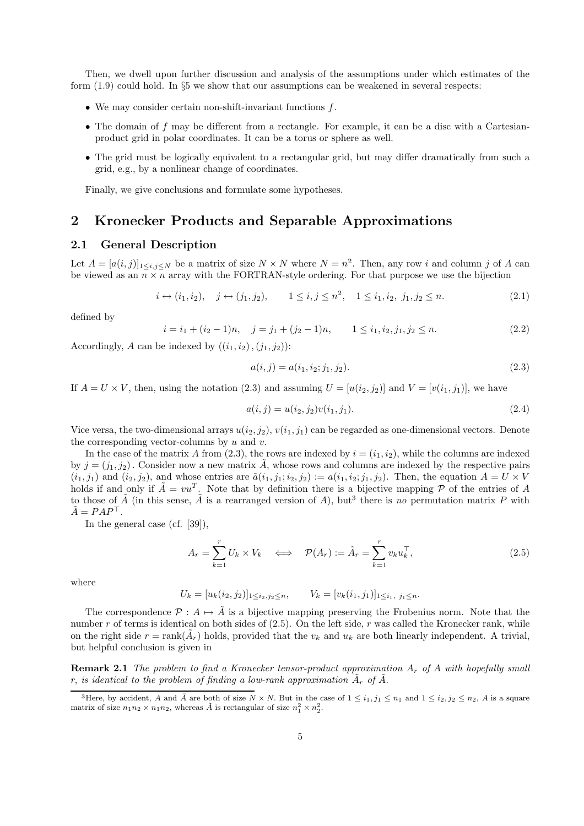Then, we dwell upon further discussion and analysis of the assumptions under which estimates of the form (1.9) could hold. In §5 we show that our assumptions can be weakened in several respects:

- We may consider certain non-shift-invariant functions f.
- The domain of f may be different from a rectangle. For example, it can be a disc with a Cartesianproduct grid in polar coordinates. It can be a torus or sphere as well.
- The grid must be logically equivalent to a rectangular grid, but may differ dramatically from such a grid, e.g., by a nonlinear change of coordinates.

Finally, we give conclusions and formulate some hypotheses.

## **2 Kronecker Products and Separable Approximations**

#### **2.1 General Description**

Let  $A = [a(i, j)]_{1 \leq i, j \leq N}$  be a matrix of size  $N \times N$  where  $N = n^2$ . Then, any row i and column j of A can be viewed as an  $n \times n$  array with the FORTRAN-style ordering. For that purpose we use the bijection

$$
i \leftrightarrow (i_1, i_2), \quad j \leftrightarrow (j_1, j_2), \qquad 1 \leq i, j \leq n^2, \quad 1 \leq i_1, i_2, j_1, j_2 \leq n.
$$
 (2.1)

defined by

$$
i = i_1 + (i_2 - 1)n, \quad j = j_1 + (j_2 - 1)n, \qquad 1 \le i_1, i_2, j_1, j_2 \le n. \tag{2.2}
$$

Accordingly, A can be indexed by  $((i_1, i_2), (j_1, j_2))$ :

$$
a(i,j) = a(i_1, i_2; j_1, j_2). \tag{2.3}
$$

If  $A = U \times V$ , then, using the notation (2.3) and assuming  $U = [u(i_2, j_2)]$  and  $V = [v(i_1, j_1)]$ , we have

$$
a(i,j) = u(i_2, j_2)v(i_1, j_1).
$$
\n(2.4)

Vice versa, the two-dimensional arrays  $u(i_2, j_2), v(i_1, j_1)$  can be regarded as one-dimensional vectors. Denote the corresponding vector-columns by  $u$  and  $v$ .

In the case of the matrix A from (2.3), the rows are indexed by  $i = (i_1, i_2)$ , while the columns are indexed by  $j = (j_1, j_2)$ . Consider now a new matrix A, whose rows and columns are indexed by the respective pairs  $(i_1, j_1)$  and  $(i_2, j_2)$ , and whose entries are  $\tilde{a}(i_1, j_1; i_2, j_2) := a(i_1, i_2; j_1, j_2)$ . Then, the equation  $A = U \times V$ holds if and only if  $\tilde{A} = vu^T$ . Note that by definition there is a bijective mapping  $\tilde{P}$  of the entries of A to those of  $\tilde{A}$  (in this sense,  $\tilde{A}$  is a rearranged version of A), but<sup>3</sup> there is *no* permutation matrix P with  $\tilde{A} = P A P^{\top}.$ 

In the general case (cf. [39]),

$$
A_r = \sum_{k=1}^r U_k \times V_k \quad \Longleftrightarrow \quad \mathcal{P}(A_r) := \tilde{A}_r = \sum_{k=1}^r v_k u_k^\top,
$$
\n(2.5)

where

$$
U_k = [u_k(i_2, j_2)]_{1 \le i_2, j_2 \le n}, \qquad V_k = [v_k(i_1, j_1)]_{1 \le i_1, j_1 \le n}.
$$

The correspondence  $\mathcal{P}: A \mapsto \tilde{A}$  is a bijective mapping preserving the Frobenius norm. Note that the number r of terms is identical on both sides of  $(2.5)$ . On the left side, r was called the Kronecker rank, while on the right side  $r = \text{rank}(\tilde{A}_r)$  holds, provided that the  $v_k$  and  $u_k$  are both linearly independent. A trivial, but helpful conclusion is given in

**Remark 2.1** *The problem to find a Kronecker tensor-product approximation* A<sup>r</sup> *of* A *with hopefully small* r, *is identical to the problem of finding a low-rank approximation*  $\tilde{A}_r$  of  $\tilde{A}$ .

<sup>&</sup>lt;sup>3</sup>Here, by accident, *A* and  $\tilde{A}$  are both of size  $N \times N$ . But in the case of  $1 \leq i_1, j_1 \leq n_1$  and  $1 \leq i_2, j_2 \leq n_2$ , *A* is a square matrix of size  $n_1 n_2 \times n_1 n_2$ , whereas  $\tilde{A}$  is rectangular of size  $n_1^2 \times n_2^2$ .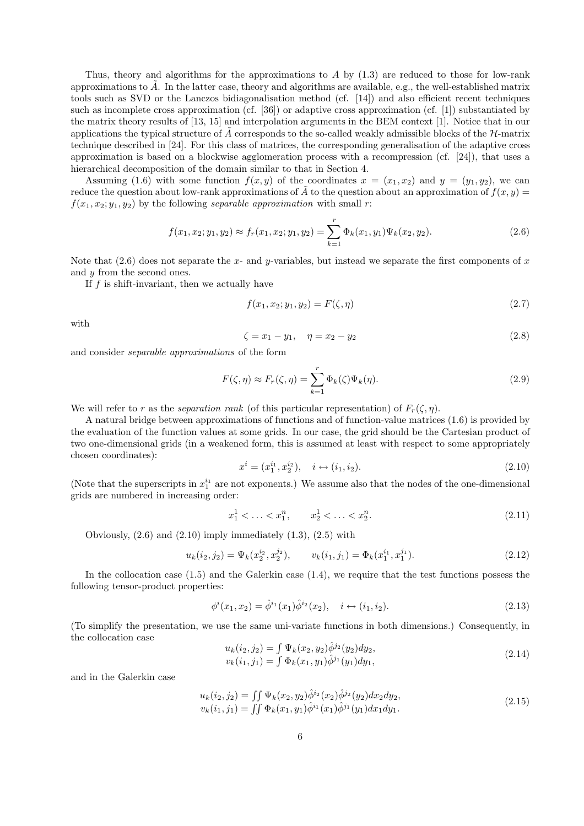Thus, theory and algorithms for the approximations to  $A$  by  $(1.3)$  are reduced to those for low-rank approximations to A. In the latter case, theory and algorithms are available, e.g., the well-established matrix tools such as SVD or the Lanczos bidiagonalisation method (cf. [14]) and also efficient recent techniques such as incomplete cross approximation (cf. [36]) or adaptive cross approximation (cf. [1]) substantiated by the matrix theory results of [13, 15] and interpolation arguments in the BEM context [1]. Notice that in our applications the typical structure of  $\vec{A}$  corresponds to the so-called weakly admissible blocks of the  $H$ -matrix technique described in [24]. For this class of matrices, the corresponding generalisation of the adaptive cross approximation is based on a blockwise agglomeration process with a recompression (cf. [24]), that uses a hierarchical decomposition of the domain similar to that in Section 4.

Assuming (1.6) with some function  $f(x, y)$  of the coordinates  $x = (x_1, x_2)$  and  $y = (y_1, y_2)$ , we can reduce the question about low-rank approximations of  $\tilde{A}$  to the question about an approximation of  $f(x, y)$  =  $f(x_1, x_2; y_1, y_2)$  by the following *separable approximation* with small r:

$$
f(x_1, x_2; y_1, y_2) \approx f_r(x_1, x_2; y_1, y_2) = \sum_{k=1}^r \Phi_k(x_1, y_1) \Psi_k(x_2, y_2).
$$
 (2.6)

Note that  $(2.6)$  does not separate the x- and y-variables, but instead we separate the first components of x and y from the second ones.

If  $f$  is shift-invariant, then we actually have

$$
f(x_1, x_2; y_1, y_2) = F(\zeta, \eta) \tag{2.7}
$$

with

$$
\zeta = x_1 - y_1, \quad \eta = x_2 - y_2 \tag{2.8}
$$

and consider *separable approximations* of the form

$$
F(\zeta, \eta) \approx F_r(\zeta, \eta) = \sum_{k=1}^r \Phi_k(\zeta) \Psi_k(\eta). \tag{2.9}
$$

We will refer to r as the *separation rank* (of this particular representation) of  $F_r(\zeta,\eta)$ .

A natural bridge between approximations of functions and of function-value matrices (1.6) is provided by the evaluation of the function values at some grids. In our case, the grid should be the Cartesian product of two one-dimensional grids (in a weakened form, this is assumed at least with respect to some appropriately chosen coordinates):

$$
x^{i} = (x_1^{i_1}, x_2^{i_2}), \quad i \leftrightarrow (i_1, i_2). \tag{2.10}
$$

(Note that the superscripts in  $x_1^{i_1}$  are not exponents.) We assume also that the nodes of the one-dimensional orids are numbered in increasing order. grids are numbered in increasing order:

$$
x_1^1 < \ldots < x_1^n, \qquad x_2^1 < \ldots < x_2^n. \tag{2.11}
$$

Obviously,  $(2.6)$  and  $(2.10)$  imply immediately  $(1.3)$ ,  $(2.5)$  with

$$
u_k(i_2, j_2) = \Psi_k(x_2^{i_2}, x_2^{j_2}), \qquad v_k(i_1, j_1) = \Phi_k(x_1^{i_1}, x_1^{j_1}). \tag{2.12}
$$

In the collocation case  $(1.5)$  and the Galerkin case  $(1.4)$ , we require that the test functions possess the following tensor-product properties:

$$
\phi^{i}(x_1, x_2) = \hat{\phi}^{i_1}(x_1)\hat{\phi}^{i_2}(x_2), \quad i \leftrightarrow (i_1, i_2). \tag{2.13}
$$

(To simplify the presentation, we use the same uni-variate functions in both dimensions.) Consequently, in the collocation case

$$
u_k(i_2, j_2) = \int \Psi_k(x_2, y_2) \hat{\phi}^{j_2}(y_2) dy_2, \n v_k(i_1, j_1) = \int \Phi_k(x_1, y_1) \hat{\phi}^{j_1}(y_1) dy_1,
$$
\n(2.14)

and in the Galerkin case

$$
u_k(i_2, j_2) = \iint \Psi_k(x_2, y_2) \hat{\phi}^{i_2}(x_2) \hat{\phi}^{j_2}(y_2) dx_2 dy_2, \n v_k(i_1, j_1) = \iint \Phi_k(x_1, y_1) \hat{\phi}^{i_1}(x_1) \hat{\phi}^{j_1}(y_1) dx_1 dy_1.
$$
\n(2.15)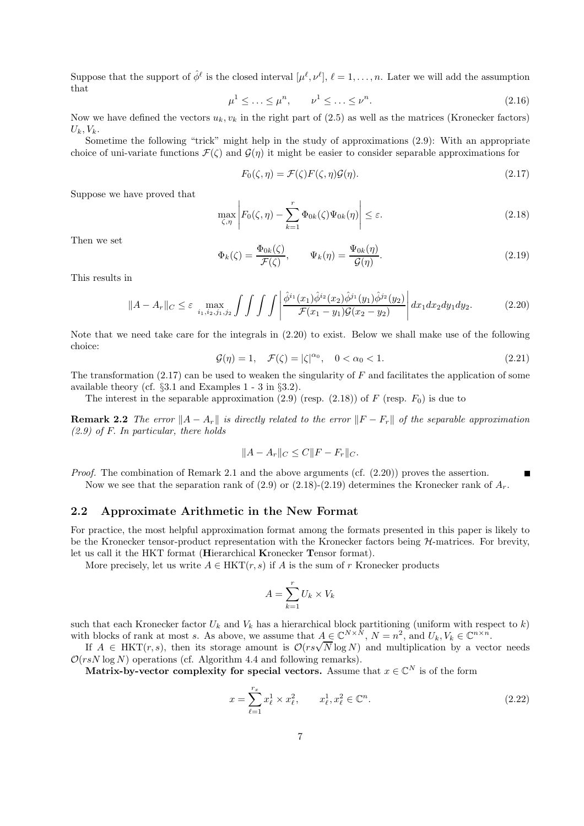Suppose that the support of  $\hat{\phi}^{\ell}$  is the closed interval  $[\mu^{\ell}, \nu^{\ell}], \ell = 1, \ldots, n$ . Later we will add the assumption that

$$
\mu^1 \le \ldots \le \mu^n, \qquad \nu^1 \le \ldots \le \nu^n. \tag{2.16}
$$

Now we have defined the vectors  $u_k, v_k$  in the right part of (2.5) as well as the matrices (Kronecker factors)  $U_k, V_k$ .

Sometime the following "trick" might help in the study of approximations (2.9): With an appropriate choice of uni-variate functions  $\mathcal{F}(\zeta)$  and  $\mathcal{G}(\eta)$  it might be easier to consider separable approximations for

$$
F_0(\zeta, \eta) = \mathcal{F}(\zeta) F(\zeta, \eta) \mathcal{G}(\eta). \tag{2.17}
$$

Suppose we have proved that

$$
\max_{\zeta,\eta} \left| F_0(\zeta,\eta) - \sum_{k=1}^r \Phi_{0k}(\zeta) \Psi_{0k}(\eta) \right| \le \varepsilon. \tag{2.18}
$$

Then we set

$$
\Phi_k(\zeta) = \frac{\Phi_{0k}(\zeta)}{\mathcal{F}(\zeta)}, \qquad \Psi_k(\eta) = \frac{\Psi_{0k}(\eta)}{\mathcal{G}(\eta)}.
$$
\n(2.19)

This results in

$$
||A - A_r||_C \leq \varepsilon \max_{i_1, i_2, j_1, j_2} \int \int \int \int \left| \frac{\hat{\phi}^{i_1}(x_1)\hat{\phi}^{i_2}(x_2)\hat{\phi}^{j_1}(y_1)\hat{\phi}^{j_2}(y_2)}{\mathcal{F}(x_1 - y_1)\mathcal{G}(x_2 - y_2)} \right| dx_1 dx_2 dy_1 dy_2.
$$
 (2.20)

Note that we need take care for the integrals in (2.20) to exist. Below we shall make use of the following choice:

$$
\mathcal{G}(\eta) = 1, \quad \mathcal{F}(\zeta) = |\zeta|^{\alpha_0}, \quad 0 < \alpha_0 < 1. \tag{2.21}
$$

The transformation  $(2.17)$  can be used to weaken the singularity of F and facilitates the application of some available theory (cf. §3.1 and Examples 1 - 3 in §3.2).

The interest in the separable approximation (2.9) (resp. (2.18)) of F (resp.  $F_0$ ) is due to

**Remark 2.2** *The error*  $||A - A_r||$  *is directly related to the error*  $||F - F_r||$  *of the separable approximation (2.9) of* F. *In particular, there holds*

$$
||A - A_r||_C \le C||F - F_r||_C.
$$

*Proof.* The combination of Remark 2.1 and the above arguments (cf. (2.20)) proves the assertion.  $\blacksquare$ Now we see that the separation rank of  $(2.9)$  or  $(2.18)-(2.19)$  determines the Kronecker rank of  $A_r$ .

#### **2.2 Approximate Arithmetic in the New Format**

For practice, the most helpful approximation format among the formats presented in this paper is likely to be the Kronecker tensor-product representation with the Kronecker factors being H-matrices. For brevity, let us call it the HKT format (**H**ierarchical **K**ronecker **T**ensor format).

More precisely, let us write  $A \in HKT(r, s)$  if A is the sum of r Kronecker products

$$
A = \sum_{k=1}^{r} U_k \times V_k
$$

such that each Kronecker factor  $U_k$  and  $V_k$  has a hierarchical block partitioning (uniform with respect to k) with blocks of rank at most s. As above, we assume that  $A \in \mathbb{C}^{N \times N}$ ,  $N = n^2$ , and  $U_k, V_k \in \mathbb{C}^{n \times n}$ .

If  $A \in HKT(r, s)$ , then its storage amount is  $\mathcal{O}(rs\sqrt{N}\log N)$  and multiplication by a vector needs  $\mathcal{O}(rsN \log N)$  operations (cf. Algorithm 4.4 and following remarks).

**Matrix-by-vector complexity for special vectors.** Assume that  $x \in \mathbb{C}^N$  is of the form

$$
x = \sum_{\ell=1}^{r_x} x_{\ell}^1 \times x_{\ell}^2, \qquad x_{\ell}^1, x_{\ell}^2 \in \mathbb{C}^n.
$$
 (2.22)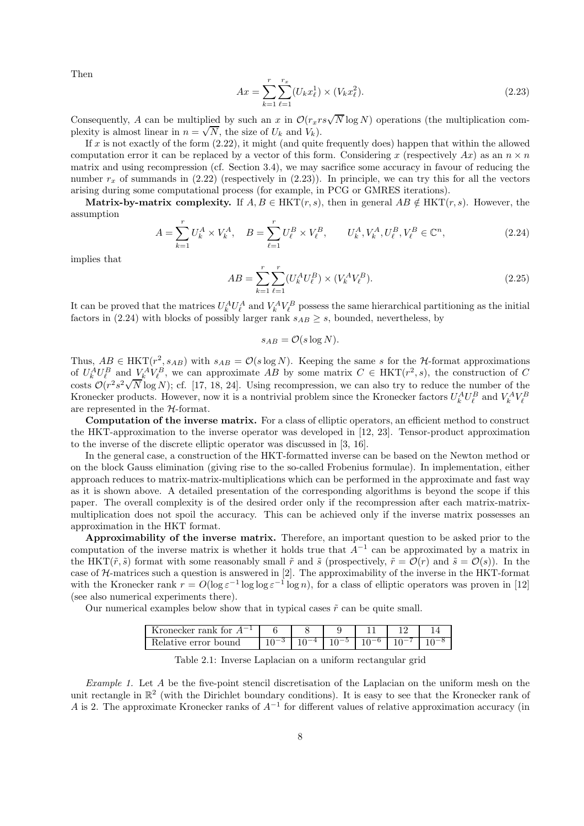Then

$$
Ax = \sum_{k=1}^{r} \sum_{\ell=1}^{r_x} (U_k x_{\ell}^1) \times (V_k x_{\ell}^2).
$$
 (2.23)

Consequently, A can be multiplied by such an x in  $\mathcal{O}(r_xrs\sqrt{N}\log N)$  operations (the multiplication com-Consequently, A can be multiplied by such an x in  $O(r_x r)$ <br>plexity is almost linear in  $n = \sqrt{N}$ , the size of  $U_k$  and  $V_k$ ).

If  $x$  is not exactly of the form  $(2.22)$ , it might (and quite frequently does) happen that within the allowed computation error it can be replaced by a vector of this form. Considering x (respectively Ax) as an  $n \times n$ matrix and using recompression (cf. Section 3.4), we may sacrifice some accuracy in favour of reducing the number  $r_x$  of summands in (2.22) (respectively in (2.23)). In principle, we can try this for all the vectors arising during some computational process (for example, in PCG or GMRES iterations).

**Matrix-by-matrix complexity.** If  $A, B \in HKT(r, s)$ , then in general  $AB \notin HKT(r, s)$ . However, the assumption

$$
A = \sum_{k=1}^{r} U_k^A \times V_k^A, \quad B = \sum_{\ell=1}^{r} U_{\ell}^B \times V_{\ell}^B, \qquad U_k^A, V_k^A, U_{\ell}^B, V_{\ell}^B \in \mathbb{C}^n,
$$
\n(2.24)

implies that

$$
AB = \sum_{k=1}^{r} \sum_{\ell=1}^{r} (U_k^A U_\ell^B) \times (V_k^A V_\ell^B).
$$
\n(2.25)

It can be proved that the matrices  $U_k^A U_\ell^A$  and  $V_k^A V_\ell^B$  possess the same hierarchical partitioning as the initial factors in (2.24) with blocks of possibly larger rank  $s_{AB} \geq s$ , bounded, nevertheless, by

$$
s_{AB} = \mathcal{O}(s \log N).
$$

Thus,  $AB \in HKT(r^2, s_{AB})$  with  $s_{AB} = \mathcal{O}(s \log N)$ . Keeping the same s for the *H*-format approximations of  $U_k^A U_\ell^B$  and  $V_k^A V_\ell^B$ , we can approximate AB by some matrix  $C \in \text{HKT}(r^2, s)$ , the construction of C costs  $\mathcal{O}(r^2 s^2 \sqrt{N} \log N)$ ; cf. [17, 18, 24]. Using recompression, we can also try to reduce the number of the Kronecker products. However, now it is a nontrivial problem since the Kronecker factors  $U_k^A U_\ell^B$  and  $V_k^A V_\ell^B$ are represented in the H-format.

**Computation of the inverse matrix.** For a class of elliptic operators, an efficient method to construct the HKT-approximation to the inverse operator was developed in [12, 23]. Tensor-product approximation to the inverse of the discrete elliptic operator was discussed in [3, 16].

In the general case, a construction of the HKT-formatted inverse can be based on the Newton method or on the block Gauss elimination (giving rise to the so-called Frobenius formulae). In implementation, either approach reduces to matrix-matrix-multiplications which can be performed in the approximate and fast way as it is shown above. A detailed presentation of the corresponding algorithms is beyond the scope if this paper. The overall complexity is of the desired order only if the recompression after each matrix-matrixmultiplication does not spoil the accuracy. This can be achieved only if the inverse matrix possesses an approximation in the HKT format.

**Approximability of the inverse matrix.** Therefore, an important question to be asked prior to the computation of the inverse matrix is whether it holds true that  $A^{-1}$  can be approximated by a matrix in the HKT( $\tilde{r}, \tilde{s}$ ) format with some reasonably small  $\tilde{r}$  and  $\tilde{s}$  (prospectively,  $\tilde{r} = \mathcal{O}(r)$  and  $\tilde{s} = \mathcal{O}(s)$ ). In the case of  $H$ -matrices such a question is answered in [2]. The approximability of the inverse in the HKT-format with the Kronecker rank  $r = O(\log \varepsilon^{-1} \log \log \varepsilon^{-1} \log n)$ , for a class of elliptic operators was proven in [12] (see also numerical experiments there).

Our numerical examples below show that in typical cases  $\tilde{r}$  can be quite small.

| $\overline{\phantom{0}}$<br>Kronecker rank for |  |  |  |
|------------------------------------------------|--|--|--|
| delative error bound                           |  |  |  |

Table 2.1: Inverse Laplacian on a uniform rectangular grid

*Example 1.* Let A be the five-point stencil discretisation of the Laplacian on the uniform mesh on the unit rectangle in  $\mathbb{R}^2$  (with the Dirichlet boundary conditions). It is easy to see that the Kronecker rank of A is 2. The approximate Kronecker ranks of  $A^{-1}$  for different values of relative approximation accuracy (in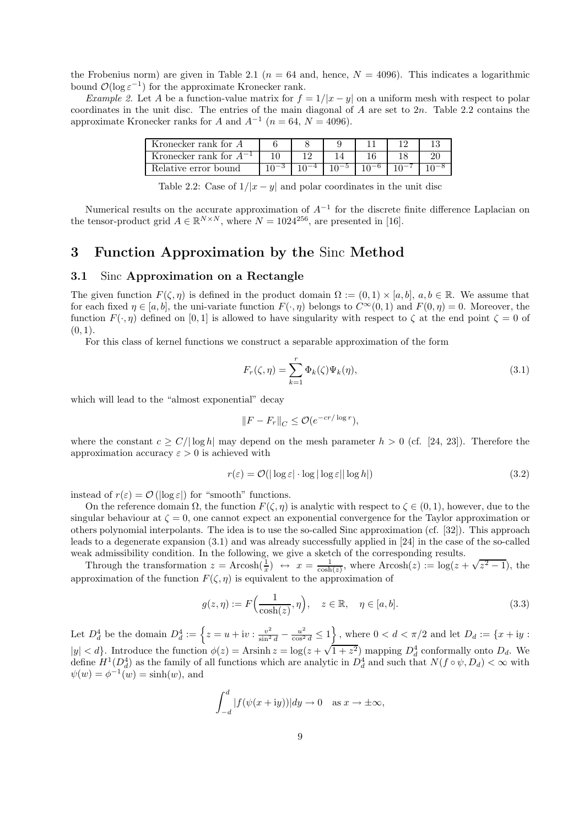the Frobenius norm) are given in Table 2.1 ( $n = 64$  and, hence,  $N = 4096$ ). This indicates a logarithmic bound  $\mathcal{O}(\log \varepsilon^{-1})$  for the approximate Kronecker rank.

*Example 2.* Let A be a function-value matrix for  $f = 1/|x - y|$  on a uniform mesh with respect to polar coordinates in the unit disc. The entries of the main diagonal of  $A$  are set to  $2n$ . Table 2.2 contains the approximate Kronecker ranks for A and  $A^{-1}$  ( $n = 64$ ,  $N = 4096$ ).

| Kronecker rank for A        |  |  |  |
|-----------------------------|--|--|--|
| Kronecker rank for $A^{-1}$ |  |  |  |
| Relative error bound        |  |  |  |

Table 2.2: Case of  $1/|x-y|$  and polar coordinates in the unit disc

Numerical results on the accurate approximation of  $A^{-1}$  for the discrete finite difference Laplacian on the tensor-product grid  $A \in \mathbb{R}^{N \times N}$ , where  $N = 1024^{256}$ , are presented in [16].

## **3 Function Approximation by the** Sinc **Method**

## **3.1** Sinc **Approximation on a Rectangle**

The given function  $F(\zeta,\eta)$  is defined in the product domain  $\Omega := (0,1) \times [a,b], a,b \in \mathbb{R}$ . We assume that for each fixed  $\eta \in [a, b]$ , the uni-variate function  $F(\cdot, \eta)$  belongs to  $C^{\infty}(0, 1)$  and  $F(0, \eta) = 0$ . Moreover, the function  $F(\cdot, \eta)$  defined on [0, 1] is allowed to have singularity with respect to  $\zeta$  at the end point  $\zeta = 0$  of  $(0, 1)$ .

For this class of kernel functions we construct a separable approximation of the form

$$
F_r(\zeta, \eta) = \sum_{k=1}^r \Phi_k(\zeta) \Psi_k(\eta), \qquad (3.1)
$$

which will lead to the "almost exponential" decay

$$
||F - F_r||_C \leq \mathcal{O}(e^{-cr/\log r}),
$$

where the constant  $c \ge C/|\log h|$  may depend on the mesh parameter  $h > 0$  (cf. [24, 23]). Therefore the approximation accuracy  $\varepsilon > 0$  is achieved with

$$
r(\varepsilon) = \mathcal{O}(|\log \varepsilon| \cdot \log |\log \varepsilon| |\log h|)
$$
\n(3.2)

instead of  $r(\varepsilon) = \mathcal{O}(|\log \varepsilon|)$  for "smooth" functions.

On the reference domain  $\Omega$ , the function  $F(\zeta,\eta)$  is analytic with respect to  $\zeta \in (0,1)$ , however, due to the singular behaviour at  $\zeta = 0$ , one cannot expect an exponential convergence for the Taylor approximation or others polynomial interpolants. The idea is to use the so-called Sinc approximation (cf. [32]). This approach leads to a degenerate expansion (3.1) and was already successfully applied in [24] in the case of the so-called weak admissibility condition. In the following, we give a sketch of the corresponding results.

Example in the transformation  $z = Arcosh(\frac{1}{x}) \leftrightarrow x = \frac{1}{\cosh(z)}$ , where  $Arcosh(z) := \log(z + \sqrt{z^2 - 1})$ , the nonimation of the function  $E(z)$  is equivalent to the approximation of approximation of the function  $F(\zeta,\eta)$  is equivalent to the approximation of

$$
g(z,\eta) := F\Big(\frac{1}{\cosh(z)},\eta\Big), \quad z \in \mathbb{R}, \quad \eta \in [a,b].
$$
 (3.3)

Let  $D_d^4$  be the domain  $D_d^4 := \left\{ z = u + iv : \frac{v^2}{\sin^2 d} - \frac{u^2}{\cos^2 d} \le 1 \right\}$ , where  $0 < d < \pi/2$  and let  $D_d := \{ x + iy :$  $|y| < d$ . Introduce the function  $\phi(z) = \text{Arsinh } z = \log(z + \sqrt{1 + z^2})$  mapping  $D_d^4$  conformally onto  $D_d$ . We define  $H^1(D_d^4)$  as the family of all functions which are analytic in  $D_d^4$  and such that  $N(f \circ \psi, D_d) < \infty$  with  $\psi(w) = \phi^{-1}(w) = \sinh(w)$ , and

$$
\int_{-d}^{d} |f(\psi(x+iy))| dy \to 0 \quad \text{as } x \to \pm \infty,
$$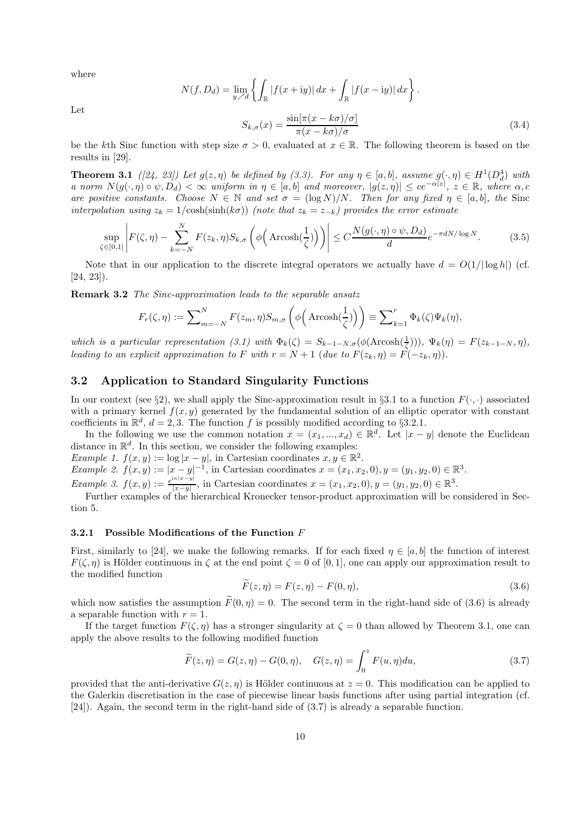where

$$
N(f, D_d) = \lim_{y \nearrow d} \left\{ \int_{\mathbb{R}} |f(x + iy)| dx + \int_{\mathbb{R}} |f(x - iy)| dx \right\}.
$$
  

$$
S_{k, \sigma}(x) = \frac{\sin[\pi(x - k\sigma)/\sigma]}{\pi(x - k\sigma)/\sigma}.
$$
 (3.4)

Let

be the kth Sinc function with step size  $\sigma > 0$ , evaluated at  $x \in \mathbb{R}$ . The following theorem is based on the results in [29].

**Theorem 3.1** *([24, 23])* Let  $g(z, \eta)$  be defined by (3.3). For any  $\eta \in [a, b]$ , assume  $g(\cdot, \eta) \in H^1(D_d^4)$  with *a norm*  $N(g(\cdot, \eta) \circ \psi, D_d) < \infty$  *uniform in*  $\eta \in [a, b]$  *and moreover*,  $|g(z, \eta)| \leq ce^{-\alpha|z|}, z \in \mathbb{R}$ , *where*  $\alpha, c$ *are positive constants.* Choose  $N \in \mathbb{N}$  and set  $\sigma = (\log N)/N$ . Then for any fixed  $\eta \in [a, b]$ , the Sinc *interpolation using*  $z_k = 1/\cosh(\sinh(k\sigma))$  *(note that*  $z_k = z_{-k}$ *) provides the error estimate* 

$$
\sup_{\zeta \in [0,1]} \left| F(\zeta, \eta) - \sum_{k=-N}^{N} F(z_k, \eta) S_{k,\sigma} \left( \phi \left( \operatorname{Arcosh}(\frac{1}{\zeta}) \right) \right) \right| \le C \frac{N(g(\cdot, \eta) \circ \psi, D_d)}{d} e^{-\pi d N / \log N}.
$$
 (3.5)

Note that in our application to the discrete integral operators we actually have  $d = O(1/|\log h|)$  (cf. [24, 23]).

**Remark 3.2** *The Sinc-approximation leads to the separable ansatz*

$$
F_r(\zeta, \eta) := \sum_{m=-N}^{N} F(z_m, \eta) S_{m, \sigma} \left( \phi \left( \operatorname{Arcosh}(\frac{1}{\zeta}) \right) \right) \equiv \sum_{k=1}^{r} \Phi_k(\zeta) \Psi_k(\eta),
$$

*which is a particular representation* (3.1) with  $\Phi_k(\zeta) = S_{k-1-N,\sigma}(\phi(\text{Arcosh}(\frac{1}{\zeta}))), \Psi_k(\eta) = F(z_{k-1-N}, \eta)$ , *leading to an explicit approximation to* F *with*  $r = N + 1$  (*due to*  $F(z_k, \eta) = \overrightarrow{F}(-z_k, \eta)$ ).

## **3.2 Application to Standard Singularity Functions**

In our context (see §2), we shall apply the Sinc-approximation result in §3.1 to a function  $F(\cdot, \cdot)$  associated with a primary kernel  $f(x, y)$  generated by the fundamental solution of an elliptic operator with constant coefficients in  $\mathbb{R}^d$ ,  $d = 2, 3$ . The function f is possibly modified according to §3.2.1.

In the following we use the common notation  $x = (x_1, ..., x_d) \in \mathbb{R}^d$ . Let  $|x - y|$  denote the Euclidean distance in  $\mathbb{R}^d$ . In this section, we consider the following examples:

*Example 1.*  $f(x, y) := \log |x - y|$ , in Cartesian coordinates  $x, y \in \mathbb{R}^2$ . *Example 2.*  $f(x, y) := |x - y|^{-1}$ , in Cartesian coordinates  $x = (x_1, x_2, 0), y = (y_1, y_2, 0) \in \mathbb{R}^3$ .

*Example 3.*  $f(x, y) := \frac{e^{i\kappa|x-y|}}{|x-y|}$ , in Cartesian coordinates  $x = (x_1, x_2, 0), y = (y_1, y_2, 0) \in \mathbb{R}^3$ .<br>Further examples of the hierarchical Kronecker tensor-product approximation will be considered in Section 5.

#### **3.2.1 Possible Modifications of the Function** F

First, similarly to [24], we make the following remarks. If for each fixed  $\eta \in [a, b]$  the function of interest  $F(\zeta,\eta)$  is Hölder continuous in  $\zeta$  at the end point  $\zeta = 0$  of [0, 1], one can apply our approximation result to the modified function

$$
\widetilde{F}(z,\eta) = F(z,\eta) - F(0,\eta),\tag{3.6}
$$

which now satisfies the assumption  $\widetilde{F}(0, \eta) = 0$ . The second term in the right-hand side of (3.6) is already a separable function with  $r = 1$ .

If the target function  $F(\zeta,\eta)$  has a stronger singularity at  $\zeta = 0$  than allowed by Theorem 3.1, one can apply the above results to the following modified function

$$
\widetilde{F}(z,\eta) = G(z,\eta) - G(0,\eta), \quad G(z,\eta) = \int_0^z F(u,\eta) du,
$$
\n(3.7)

provided that the anti-derivative  $G(z, \eta)$  is Hölder continuous at  $z = 0$ . This modification can be applied to the Galerkin discretisation in the case of piecewise linear basis functions after using partial integration (cf. [24]). Again, the second term in the right-hand side of (3.7) is already a separable function.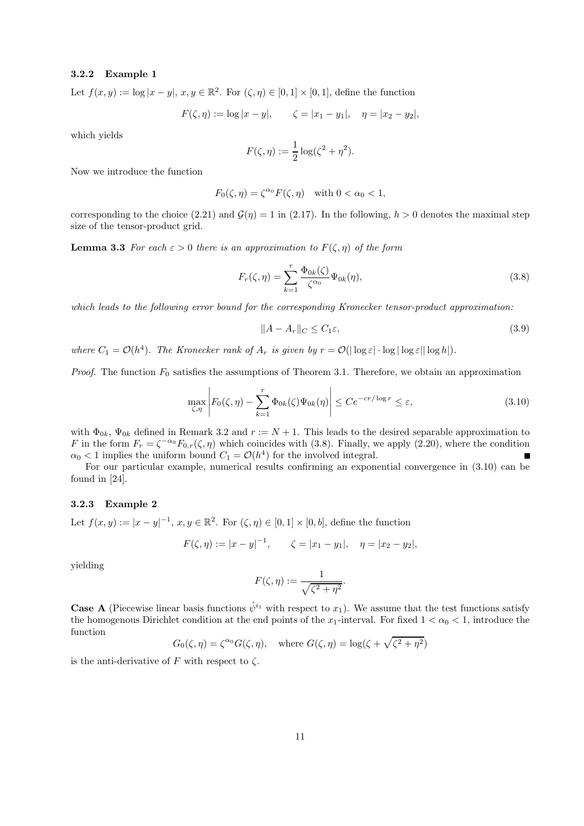#### **3.2.2 Example 1**

Let  $f(x, y) := \log |x - y|, x, y \in \mathbb{R}^2$ . For  $(\zeta, \eta) \in [0, 1] \times [0, 1]$ , define the function

$$
F(\zeta, \eta) := \log |x - y|, \qquad \zeta = |x_1 - y_1|, \quad \eta = |x_2 - y_2|,
$$

which yields

$$
F(\zeta, \eta) := \frac{1}{2} \log(\zeta^2 + \eta^2).
$$

Now we introduce the function

$$
F_0(\zeta, \eta) = \zeta^{\alpha_0} F(\zeta, \eta) \quad \text{with } 0 < \alpha_0 < 1,
$$

corresponding to the choice (2.21) and  $\mathcal{G}(\eta) = 1$  in (2.17). In the following,  $h > 0$  denotes the maximal step size of the tensor-product grid.

**Lemma 3.3** *For each*  $\varepsilon > 0$  *there is an approximation to*  $F(\zeta, \eta)$  *of the form* 

$$
F_r(\zeta, \eta) = \sum_{k=1}^r \frac{\Phi_{0k}(\zeta)}{\zeta^{\alpha_0}} \Psi_{0k}(\eta),
$$
\n(3.8)

*which leads to the following error bound for the corresponding Kronecker tensor-product approximation:*

$$
||A - A_r||_C \le C_1 \varepsilon,\tag{3.9}
$$

*where*  $C_1 = \mathcal{O}(h^4)$ *. The Kronecker rank of*  $A_r$  *is given by*  $r = \mathcal{O}(|\log \varepsilon| \cdot \log |\log \varepsilon| |\log h|)$ *.* 

*Proof.* The function  $F_0$  satisfies the assumptions of Theorem 3.1. Therefore, we obtain an approximation

$$
\max_{\zeta,\eta} \left| F_0(\zeta,\eta) - \sum_{k=1}^r \Phi_{0k}(\zeta) \Psi_{0k}(\eta) \right| \le C e^{-cr/\log r} \le \varepsilon, \tag{3.10}
$$

with  $\Phi_{0k}$ ,  $\Psi_{0k}$  defined in Remark 3.2 and  $r := N + 1$ . This leads to the desired separable approximation to F in the form  $F_r = \zeta^{-\alpha_0} F_{0,r}(\zeta,\eta)$  which coincides with (3.8). Finally, we apply (2.20), where the condition  $\alpha_0 < 1$  implies the uniform bound  $C_1 = \mathcal{O}(h^4)$  for the involved integral.

For our particular example, numerical results confirming an exponential convergence in (3.10) can be found in [24].

#### **3.2.3 Example 2**

Let  $f(x, y) := |x - y|^{-1}, x, y \in \mathbb{R}^2$ . For  $(\zeta, \eta) \in [0, 1] \times [0, b]$ , define the function

$$
F(\zeta, \eta) := |x - y|^{-1}, \qquad \zeta = |x_1 - y_1|, \quad \eta = |x_2 - y_2|,
$$

yielding

$$
F(\zeta,\eta):=\frac{1}{\sqrt{\zeta^2+\eta^2}}.
$$

**Case A** (Piecewise linear basis functions  $\hat{\psi}^{i_1}$  with respect to  $x_1$ ). We assume that the test functions satisfy the homogenous Dirichlet condition at the end points of the  $x_1$ -interval. For fixed  $1 < \alpha_0 < 1$ , introduce the function

$$
G_0(\zeta, \eta) = \zeta^{\alpha_0} G(\zeta, \eta)
$$
, where  $G(\zeta, \eta) = \log(\zeta + \sqrt{\zeta^2 + \eta^2})$ 

is the anti-derivative of F with respect to  $\zeta$ .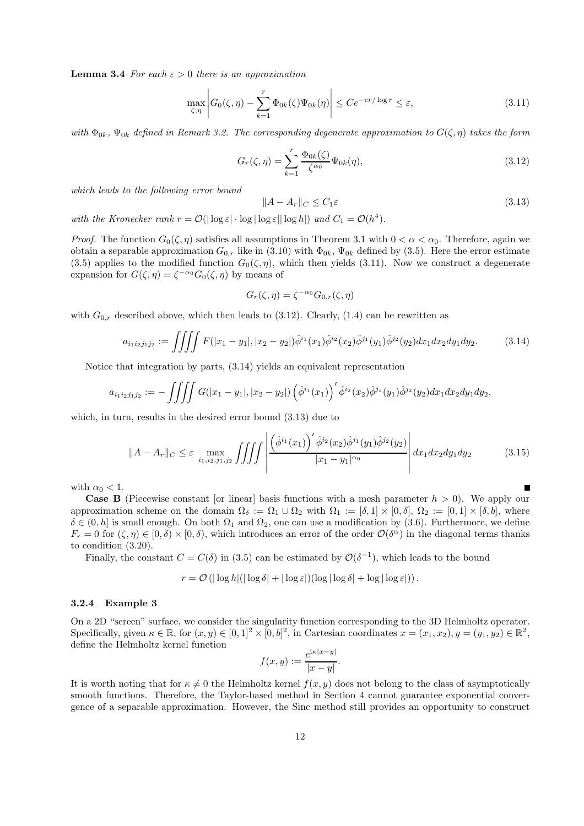**Lemma 3.4** *For each*  $\varepsilon > 0$  *there is an approximation* 

$$
\max_{\zeta,\eta} \left| G_0(\zeta,\eta) - \sum_{k=1}^r \Phi_{0k}(\zeta) \Psi_{0k}(\eta) \right| \le C e^{-cr/\log r} \le \varepsilon, \tag{3.11}
$$

*with*  $\Phi_{0k}$ ,  $\Psi_{0k}$  *defined in Remark 3.2. The corresponding degenerate approximation to*  $G(\zeta,\eta)$  *takes the form* 

$$
G_r(\zeta, \eta) = \sum_{k=1}^r \frac{\Phi_{0k}(\zeta)}{\zeta^{\alpha_0}} \Psi_{0k}(\eta),
$$
\n(3.12)

*which leads to the following error bound*

$$
||A - A_r||_C \le C_1 \varepsilon \tag{3.13}
$$

*with the Kronecker rank*  $r = \mathcal{O}(|\log \varepsilon| \cdot \log |\log \varepsilon| |\log h|)$  *and*  $C_1 = \mathcal{O}(h^4)$ *.* 

*Proof.* The function  $G_0(\zeta,\eta)$  satisfies all assumptions in Theorem 3.1 with  $0 < \alpha < \alpha_0$ . Therefore, again we obtain a separable approximation  $G_{0,r}$  like in (3.10) with  $\Phi_{0k}$ ,  $\Psi_{0k}$  defined by (3.5). Here the error estimate (3.5) applies to the modified function  $G_0(\zeta,\eta)$ , which then yields (3.11). Now we construct a degenerate expansion for  $G(\zeta,\eta) = \zeta^{-\alpha_0} G_0(\zeta,\eta)$  by means of

$$
G_r(\zeta,\eta) = \zeta^{-\alpha_0} G_{0,r}(\zeta,\eta)
$$

with  $G_{0,r}$  described above, which then leads to (3.12). Clearly, (1.4) can be rewritten as

$$
a_{i_1 i_2 j_1 j_2} := \iiint F(|x_1 - y_1|, |x_2 - y_2|) \hat{\phi}^{i_1}(x_1) \hat{\phi}^{i_2}(x_2) \hat{\phi}^{j_1}(y_1) \hat{\phi}^{j_2}(y_2) dx_1 dx_2 dy_1 dy_2.
$$
 (3.14)

Notice that integration by parts, (3.14) yields an equivalent representation

$$
a_{i_1i_2j_1j_2}:=-\iiint G(|x_1-y_1|,|x_2-y_2|)\left(\hat{\phi}^{i_1}(x_1)\right)'\hat{\phi}^{i_2}(x_2)\hat{\phi}^{j_1}(y_1)\hat{\phi}^{j_2}(y_2)dx_1dx_2dy_1dy_2,
$$

which, in turn, results in the desired error bound (3.13) due to

$$
||A - A_r||_C \leq \varepsilon \max_{i_1, i_2, j_1, j_2} \iiint \left| \frac{\left(\hat{\phi}^{i_1}(x_1)\right)'\hat{\phi}^{i_2}(x_2)\hat{\phi}^{j_1}(y_1)\hat{\phi}^{j_2}(y_2)}{|x_1 - y_1|^{\alpha_0}} \right| dx_1 dx_2 dy_1 dy_2 \tag{3.15}
$$

with  $\alpha_0 < 1$ .

**Case B** (Piecewise constant [or linear] basis functions with a mesh parameter  $h > 0$ ). We apply our approximation scheme on the domain  $\Omega_{\delta} := \Omega_1 \cup \Omega_2$  with  $\Omega_1 := [\delta, 1] \times [0, \delta], \Omega_2 := [0, 1] \times [\delta, b]$ , where  $\delta \in (0, h]$  is small enough. On both  $\Omega_1$  and  $\Omega_2$ , one can use a modification by (3.6). Furthermore, we define  $F_r = 0$  for  $(\zeta, \eta) \in [0, \delta) \times [0, \delta)$ , which introduces an error of the order  $\mathcal{O}(\delta^{\alpha})$  in the diagonal terms thanks to condition (3.20).

Finally, the constant  $C = C(\delta)$  in (3.5) can be estimated by  $\mathcal{O}(\delta^{-1})$ , which leads to the bound

$$
r = \mathcal{O}\left(|\log h|(|\log \delta| + |\log \varepsilon|)(\log |\log \delta| + \log |\log \varepsilon|)\right).
$$

#### **3.2.4 Example 3**

On a 2D "screen" surface, we consider the singularity function corresponding to the 3D Helmholtz operator. Specifically, given  $\kappa \in \mathbb{R}$ , for  $(x, y) \in [0, 1]^2 \times [0, b]^2$ , in Cartesian coordinates  $x = (x_1, x_2), y = (y_1, y_2) \in \mathbb{R}^2$ , define the Helmholtz kernel function

$$
f(x,y) := \frac{e^{i\kappa|x-y|}}{|x-y|}.
$$

It is worth noting that for  $\kappa \neq 0$  the Helmholtz kernel  $f(x, y)$  does not belong to the class of asymptotically smooth functions. Therefore, the Taylor-based method in Section 4 cannot guarantee exponential convergence of a separable approximation. However, the Sinc method still provides an opportunity to construct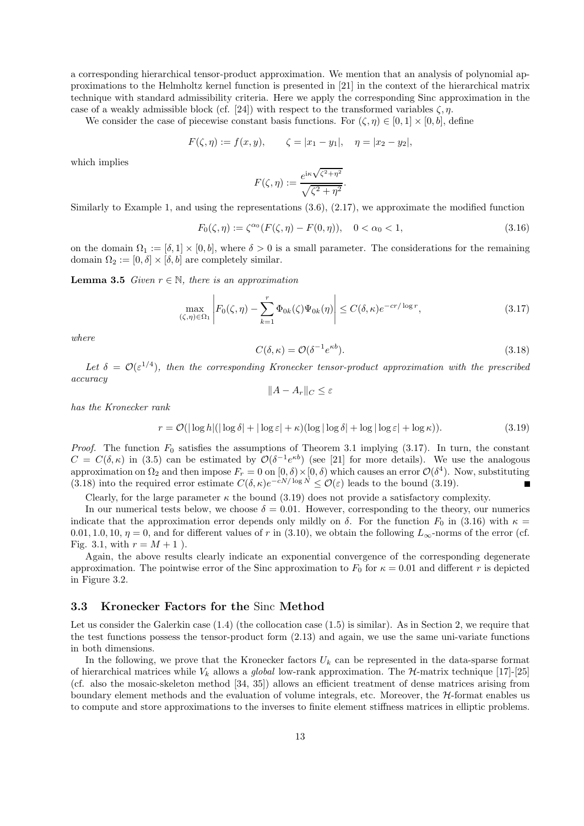a corresponding hierarchical tensor-product approximation. We mention that an analysis of polynomial approximations to the Helmholtz kernel function is presented in [21] in the context of the hierarchical matrix technique with standard admissibility criteria. Here we apply the corresponding Sinc approximation in the case of a weakly admissible block (cf. [24]) with respect to the transformed variables  $\zeta$ ,  $\eta$ .

We consider the case of piecewise constant basis functions. For  $(\zeta, \eta) \in [0, 1] \times [0, b]$ , define

$$
F(\zeta, \eta) := f(x, y), \qquad \zeta = |x_1 - y_1|, \quad \eta = |x_2 - y_2|,
$$

which implies

$$
F(\zeta,\eta) := \frac{e^{i\kappa\sqrt{\zeta^2 + \eta^2}}}{\sqrt{\zeta^2 + \eta^2}}.
$$

Similarly to Example 1, and using the representations (3.6), (2.17), we approximate the modified function

$$
F_0(\zeta, \eta) := \zeta^{\alpha_0}(F(\zeta, \eta) - F(0, \eta)), \quad 0 < \alpha_0 < 1,\tag{3.16}
$$

on the domain  $\Omega_1 := [\delta, 1] \times [0, b]$ , where  $\delta > 0$  is a small parameter. The considerations for the remaining domain  $\Omega_2 := [0, \delta] \times [\delta, b]$  are completely similar.

**Lemma 3.5** *Given*  $r \in \mathbb{N}$ *, there is an approximation* 

$$
\max_{(\zeta,\eta)\in\Omega_1} \left| F_0(\zeta,\eta) - \sum_{k=1}^r \Phi_{0k}(\zeta) \Psi_{0k}(\eta) \right| \le C(\delta,\kappa) e^{-cr/\log r},\tag{3.17}
$$

*where*

$$
C(\delta, \kappa) = \mathcal{O}(\delta^{-1} e^{\kappa b}).\tag{3.18}
$$

Let  $\delta = \mathcal{O}(\varepsilon^{1/4})$ , then the corresponding Kronecker tensor-product approximation with the prescribed *accuracy*

$$
||A - A_r||_C \le \varepsilon
$$

*has the Kronecker rank*

$$
r = \mathcal{O}(|\log h|(|\log \delta| + |\log \varepsilon| + \kappa)(\log |\log \delta| + \log |\log \varepsilon| + \log \kappa)).
$$
\n(3.19)

*Proof.* The function  $F_0$  satisfies the assumptions of Theorem 3.1 implying  $(3.17)$ . In turn, the constant  $C = C(\delta, \kappa)$  in (3.5) can be estimated by  $\mathcal{O}(\delta^{-1}e^{\kappa b})$  (see [21] for more details). We use the analogous approximation on  $\Omega_2$  and then impose  $F_r = 0$  on  $[0, \delta) \times [0, \delta)$  which causes an error  $\mathcal{O}(\delta^4)$ . Now, substituting (3.18) into the required error estimate  $C(\delta, \kappa)e^{-cN/\log N} < \mathcal{O}(\varepsilon)$  leads to the bound (3.19). (3.18) into the required error estimate  $C(\delta, \kappa)e^{-cN/\log N} < \mathcal{O}(\varepsilon)$  leads to the bound (3.19).

Clearly, for the large parameter  $\kappa$  the bound (3.19) does not provide a satisfactory complexity.

In our numerical tests below, we choose  $\delta = 0.01$ . However, corresponding to the theory, our numerics indicate that the approximation error depends only mildly on  $\delta$ . For the function  $F_0$  in (3.16) with  $\kappa =$ 0.01, 1.0, 10,  $\eta = 0$ , and for different values of r in (3.10), we obtain the following L<sub>∞</sub>-norms of the error (cf. Fig. 3.1, with  $r = M + 1$ ).

Again, the above results clearly indicate an exponential convergence of the corresponding degenerate approximation. The pointwise error of the Sinc approximation to  $F_0$  for  $\kappa = 0.01$  and different r is depicted in Figure 3.2.

## **3.3 Kronecker Factors for the** Sinc **Method**

Let us consider the Galerkin case  $(1.4)$  (the collocation case  $(1.5)$  is similar). As in Section 2, we require that the test functions possess the tensor-product form (2.13) and again, we use the same uni-variate functions in both dimensions.

In the following, we prove that the Kronecker factors  $U_k$  can be represented in the data-sparse format of hierarchical matrices while  $V_k$  allows a *global* low-rank approximation. The  $H$ -matrix technique [17]-[25] (cf. also the mosaic-skeleton method [34, 35]) allows an efficient treatment of dense matrices arising from boundary element methods and the evaluation of volume integrals, etc. Moreover, the  $H$ -format enables us to compute and store approximations to the inverses to finite element stiffness matrices in elliptic problems.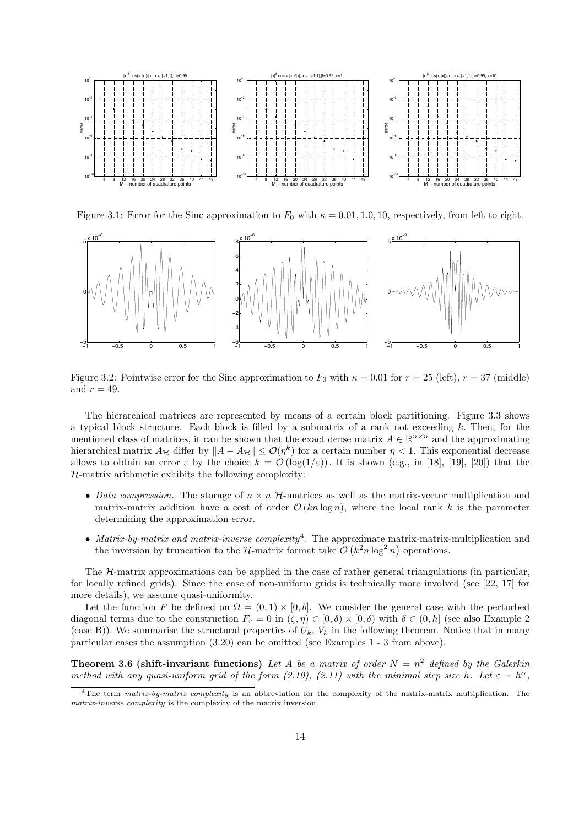

Figure 3.1: Error for the Sinc approximation to  $F_0$  with  $\kappa = 0.01, 1.0, 10$ , respectively, from left to right.



Figure 3.2: Pointwise error for the Sinc approximation to  $F_0$  with  $\kappa = 0.01$  for  $r = 25$  (left),  $r = 37$  (middle) and  $r = 49$ .

The hierarchical matrices are represented by means of a certain block partitioning. Figure 3.3 shows a typical block structure. Each block is filled by a submatrix of a rank not exceeding  $k$ . Then, for the mentioned class of matrices, it can be shown that the exact dense matrix  $A \in \mathbb{R}^{n \times n}$  and the approximating hierarchical matrix  $A_{\mathcal{H}}$  differ by  $||A - A_{\mathcal{H}}|| \leq \mathcal{O}(\eta^k)$  for a certain number  $\eta < 1$ . This exponential decrease allows to obtain an error  $\varepsilon$  by the choice  $k = \mathcal{O}(\log(1/\varepsilon))$ . It is shown (e.g., in [18], [19], [20]) that the  $H$ -matrix arithmetic exhibits the following complexity:

- *Data compression*. The storage of  $n \times n$  *H*-matrices as well as the matrix-vector multiplication and matrix-matrix addition have a cost of order  $\mathcal{O}(kn \log n)$ , where the local rank k is the parameter determining the approximation error.
- *Matrix-by-matrix and matrix-inverse complexity*4. The approximate matrix-matrix-multiplication and the inversion by truncation to the  $H$ -matrix format take  $\mathcal{O}(k^2 n \log^2 n)$  operations.

The  $H$ -matrix approximations can be applied in the case of rather general triangulations (in particular, for locally refined grids). Since the case of non-uniform grids is technically more involved (see [22, 17] for more details), we assume quasi-uniformity.

Let the function F be defined on  $\Omega = (0,1) \times [0,b]$ . We consider the general case with the perturbed diagonal terms due to the construction  $F_r = 0$  in  $(\zeta, \eta) \in [0, \delta) \times [0, \delta)$  with  $\delta \in (0, h]$  (see also Example 2) (case B)). We summarise the structural properties of  $U_k$ ,  $V_k$  in the following theorem. Notice that in many particular cases the assumption (3.20) can be omitted (see Examples 1 - 3 from above).

**Theorem 3.6 (shift-invariant functions)** Let A be a matrix of order  $N = n^2$  defined by the Galerkin *method with any quasi-uniform grid of the form (2.10), (2.11) with the minimal step size h. Let*  $\varepsilon = h^{\alpha}$ ,

<sup>4</sup>The term *matrix-by-matrix complexity* is an abbreviation for the complexity of the matrix-matrix multiplication. The *matrix-inverse complexity* is the complexity of the matrix inversion.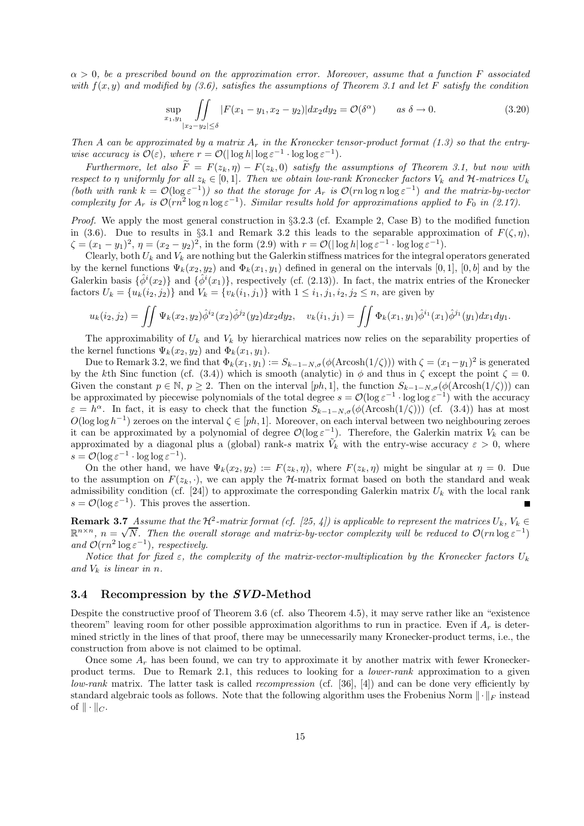α > 0*, be a prescribed bound on the approximation error. Moreover, assume that a function* F *associated with* f(x, y) *and modified by (3.6), satisfies the assumptions of Theorem 3.1 and let* F *satisfy the condition*

$$
\sup_{x_1, y_1} \iint_{|x_2 - y_2| \le \delta} |F(x_1 - y_1, x_2 - y_2)| dx_2 dy_2 = \mathcal{O}(\delta^{\alpha}) \qquad \text{as } \delta \to 0.
$$
 (3.20)

*Then* A can be approximated by a matrix  $A_r$  in the Kronecker tensor-product format (1.3) so that the entry*wise accuracy is*  $\mathcal{O}(\varepsilon)$ *, where*  $r = \mathcal{O}(|\log h| \log \varepsilon^{-1} \cdot \log \log \varepsilon^{-1})$ *.* 

*Furthermore, let also*  $\widetilde{F} = F(z_k, \eta) - F(z_k, 0)$  *satisfy the assumptions of Theorem 3.1, but now with respect to*  $\eta$  *uniformly for all*  $z_k \in [0,1]$ *. Then we obtain low-rank Kronecker factors*  $V_k$  *and*  $\mathcal{H}$ *-matrices*  $U_k$ *(both with rank*  $k = \mathcal{O}(\log \varepsilon^{-1})$ *) so that the storage for*  $A_r$  *is*  $\mathcal{O}(rn \log n \log \varepsilon^{-1})$  *and the matrix-by-vector complexity for*  $A_r$  *is*  $\mathcal{O}(rn^2 \log n \log \epsilon^{-1})$ *. Similar results hold for approximations applied to*  $F_0$  *in (2.17).* 

*Proof.* We apply the most general construction in §3.2.3 (cf. Example 2, Case B) to the modified function in (3.6). Due to results in §3.1 and Remark 3.2 this leads to the separable approximation of  $F(\zeta,\eta)$ ,  $\zeta = (x_1 - y_1)^2$ ,  $\eta = (x_2 - y_2)^2$ , in the form (2.9) with  $r = \mathcal{O}(|\log h| \log \varepsilon^{-1} \cdot \log \log \varepsilon^{-1})$ .

Clearly, both  $U_k$  and  $V_k$  are nothing but the Galerkin stiffness matrices for the integral operators generated by the kernel functions  $\Psi_k(x_2, y_2)$  and  $\Phi_k(x_1, y_1)$  defined in general on the intervals [0, 1], [0, b] and by the Galerkin basis  $\{\hat{\phi}^i(x_1)\}\$  and  $\{\hat{\phi}^i(x_1)\}\$ , respectively (cf. (2.13)). In fact, the matrix entries of the Kronecker factors  $U_k = \{u_k(i_2, j_2)\}\$  and  $V_k = \{v_k(i_1, j_1)\}\$  with  $1 \leq i_1, j_1, i_2, j_2 \leq n$ , are given by

$$
u_k(i_2,j_2) = \iint \Psi_k(x_2,y_2)\hat{\phi}^{i_2}(x_2)\hat{\phi}^{j_2}(y_2)dx_2dy_2, \quad v_k(i_1,j_1) = \iint \Phi_k(x_1,y_1)\hat{\phi}^{i_1}(x_1)\hat{\phi}^{j_1}(y_1)dx_1dy_1.
$$

The approximability of  $U_k$  and  $V_k$  by hierarchical matrices now relies on the separability properties of the kernel functions  $\Psi_k(x_2, y_2)$  and  $\Phi_k(x_1, y_1)$ .

Due to Remark 3.2, we find that  $\Phi_k(x_1, y_1) := S_{k-1-N,\sigma}(\phi(\text{Arcosh}(1/\zeta)))$  with  $\zeta = (x_1-y_1)^2$  is generated by the kth Sinc function (cf.  $(3.4)$ ) which is smooth (analytic) in  $\phi$  and thus in  $\zeta$  except the point  $\zeta = 0$ . Given the constant  $p \in \mathbb{N}$ ,  $p \geq 2$ . Then on the interval [ph, 1], the function  $S_{k-1-N,\sigma}(\phi(\text{Arcosh}(1/\zeta)))$  can be approximated by piecewise polynomials of the total degree  $s = \mathcal{O}(\log \varepsilon^{-1} \cdot \log \log \varepsilon^{-1})$  with the accuracy  $\varepsilon = h^{\alpha}$ . In fact, it is easy to check that the function  $S_{k-1-N,\sigma}(\phi(\text{Arcosh}(1/\zeta)))$  (cf. (3.4)) has at most  $O(\log \log h^{-1})$  zeroes on the interval  $\zeta \in [ph, 1]$ . Moreover, on each interval between two neighbouring zeroes it can be approximated by a polynomial of degree  $\mathcal{O}(\log \varepsilon^{-1})$ . Therefore, the Galerkin matrix  $V_k$  can be approximated by a diagonal plus a (global) rank-s matrix  $V_k$  with the entry-wise accuracy  $\varepsilon > 0$ , where  $s = \mathcal{O}(\log \varepsilon^{-1} \cdot \log \log \varepsilon^{-1}).$ 

On the other hand, we have  $\Psi_k(x_2, y_2) := F(z_k, \eta)$ , where  $F(z_k, \eta)$  might be singular at  $\eta = 0$ . Due to the assumption on  $F(z_k, \cdot)$ , we can apply the H-matrix format based on both the standard and weak admissibility condition (cf. [24]) to approximate the corresponding Galerkin matrix  $U_k$  with the local rank  $s = \mathcal{O}(\log \varepsilon^{-1})$ . This proves the assertion.

**Remark 3.7** *Assume that the*  $H^2$ -matrix format (cf. [25, 4]) is applicable to represent the matrices  $U_k$ ,  $V_k \in$  $\mathbb{R}^{n \times n}$ ,  $n = \sqrt{N}$ . Then the overall storage and matrix-by-vector complexity will be reduced to  $\mathcal{O}(rn \log \varepsilon^{-1})$ *and*  $\mathcal{O}(rn^2 \log \varepsilon^{-1})$ *, respectively.* 

*Notice that for fixed*  $\varepsilon$ , the complexity of the matrix-vector-multiplication by the Kronecker factors  $U_k$ and  $V_k$  *is linear in n.* 

#### **3.4 Recompression by the** *SVD***-Method**

Despite the constructive proof of Theorem 3.6 (cf. also Theorem 4.5), it may serve rather like an "existence theorem" leaving room for other possible approximation algorithms to run in practice. Even if  $A_r$  is determined strictly in the lines of that proof, there may be unnecessarily many Kronecker-product terms, i.e., the construction from above is not claimed to be optimal.

Once some  $A_r$  has been found, we can try to approximate it by another matrix with fewer Kroneckerproduct terms. Due to Remark 2.1, this reduces to looking for a *lower-rank* approximation to a given *low-rank* matrix. The latter task is called *recompression* (cf. [36], [4]) and can be done very efficiently by standard algebraic tools as follows. Note that the following algorithm uses the Frobenius Norm  $\|\cdot\|_F$  instead of  $\|\cdot\|_C$ .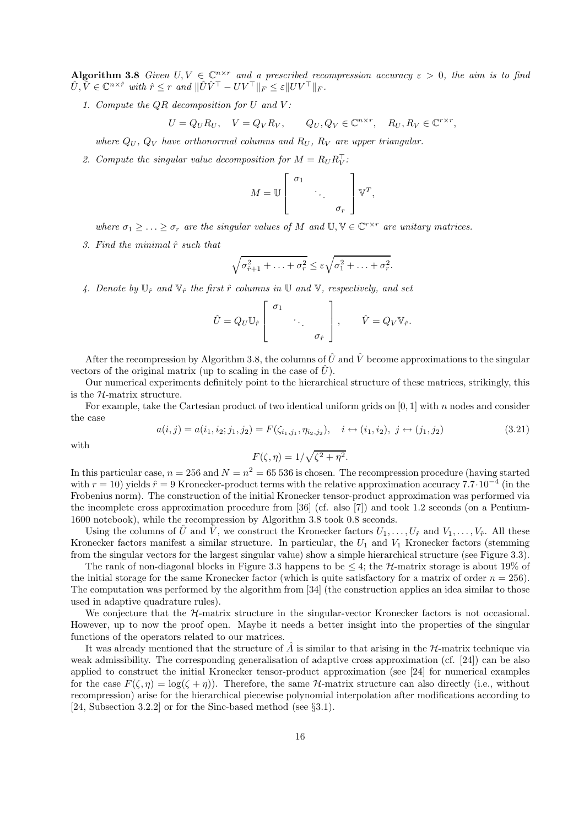**Algorithm 3.8** *Given*  $U, V \in \mathbb{C}^{n \times r}$  *and a prescribed recompression accuracy*  $\varepsilon > 0$ *, the aim is to find*  $\hat{U}, \hat{V} \in \mathbb{C}^{n \times \hat{r}}$  with  $\hat{r} \leq r$  and  $\|\hat{U}\hat{V}^{\top} - UV^{\top}\|_{F} \leq \varepsilon \|UV^{\top}\|_{F}$ .

*1. Compute the* QR *decomposition for* U *and* V *:*

$$
U = Q_U R_U, \quad V = Q_V R_V, \qquad Q_U, Q_V \in \mathbb{C}^{n \times r}, \quad R_U, R_V \in \mathbb{C}^{r \times r},
$$

*where*  $Q_U$ ,  $Q_V$  *have orthonormal columns and*  $R_U$ ,  $R_V$  *are upper triangular.* 

2. Compute the singular value decomposition for  $M = R_U R_V^{\dagger}$ :

$$
M = \mathbb{U}\left[\begin{array}{ccc} \sigma_1 & & \\ & \ddots & \\ & & \sigma_r \end{array}\right]\mathbb{V}^T,
$$

*where*  $\sigma_1 \geq \ldots \geq \sigma_r$  *are the singular values of* M *and*  $\mathbb{U}, \mathbb{V} \in \mathbb{C}^{r \times r}$  *are unitary matrices.* 

*3. Find the minimal*  $\hat{r}$  *such that* 

$$
\sqrt{\sigma_{\hat{r}+1}^2 + \ldots + \sigma_r^2} \leq \varepsilon \sqrt{\sigma_1^2 + \ldots + \sigma_r^2}.
$$

4. Denote by  $\mathbb{U}_{\hat{r}}$  and  $\mathbb{V}_{\hat{r}}$  the first  $\hat{r}$  columns in  $\mathbb{U}$  and  $\mathbb{V}$ , respectively, and set

$$
\hat{U} = Q_U \mathbb{U}_{\hat{r}} \begin{bmatrix} \sigma_1 & & \\ & \ddots & \\ & & \sigma_{\hat{r}} \end{bmatrix}, \qquad \hat{V} = Q_V \mathbb{V}_{\hat{r}}.
$$

After the recompression by Algorithm 3.8, the columns of  $\hat{U}$  and  $\hat{V}$  become approximations to the singular vectors of the original matrix (up to scaling in the case of  $\hat{U}$ ).

Our numerical experiments definitely point to the hierarchical structure of these matrices, strikingly, this is the  $H$ -matrix structure.

For example, take the Cartesian product of two identical uniform grids on  $[0, 1]$  with n nodes and consider the case

$$
a(i,j) = a(i_1, i_2; j_1, j_2) = F(\zeta_{i_1, j_1}, \eta_{i_2, j_2}), \quad i \leftrightarrow (i_1, i_2), \ j \leftrightarrow (j_1, j_2)
$$
\n(3.21)

with

$$
F(\zeta,\eta) = 1/\sqrt{\zeta^2 + \eta^2}.
$$

In this particular case,  $n = 256$  and  $N = n^2 = 65536$  is chosen. The recompression procedure (having started with  $r = 10$ ) yields  $\hat{r} = 9$  Kronecker-product terms with the relative approximation accuracy 7.7·10<sup>-4</sup> (in the Frobenius norm). The construction of the initial Kronecker tensor-product approximation was performed via the incomplete cross approximation procedure from [36] (cf. also [7]) and took 1.2 seconds (on a Pentium-1600 notebook), while the recompression by Algorithm 3.8 took 0.8 seconds.

Using the columns of  $\hat{U}$  and  $\hat{V}$ , we construct the Kronecker factors  $U_1,\ldots,U_{\hat{r}}$  and  $V_1,\ldots,V_{\hat{r}}$ . All these Kronecker factors manifest a similar structure. In particular, the  $U_1$  and  $V_1$  Kronecker factors (stemming from the singular vectors for the largest singular value) show a simple hierarchical structure (see Figure 3.3).

The rank of non-diagonal blocks in Figure 3.3 happens to be  $\leq 4$ ; the H-matrix storage is about 19% of the initial storage for the same Kronecker factor (which is quite satisfactory for a matrix of order  $n = 256$ ). The computation was performed by the algorithm from [34] (the construction applies an idea similar to those used in adaptive quadrature rules).

We conjecture that the  $H$ -matrix structure in the singular-vector Kronecker factors is not occasional. However, up to now the proof open. Maybe it needs a better insight into the properties of the singular functions of the operators related to our matrices.

It was already mentioned that the structure of  $\hat{A}$  is similar to that arising in the H-matrix technique via weak admissibility. The corresponding generalisation of adaptive cross approximation (cf. [24]) can be also applied to construct the initial Kronecker tensor-product approximation (see [24] for numerical examples for the case  $F(\zeta,\eta) = \log(\zeta + \eta)$ . Therefore, the same H-matrix structure can also directly (i.e., without recompression) arise for the hierarchical piecewise polynomial interpolation after modifications according to [24, Subsection 3.2.2] or for the Sinc-based method (see §3.1).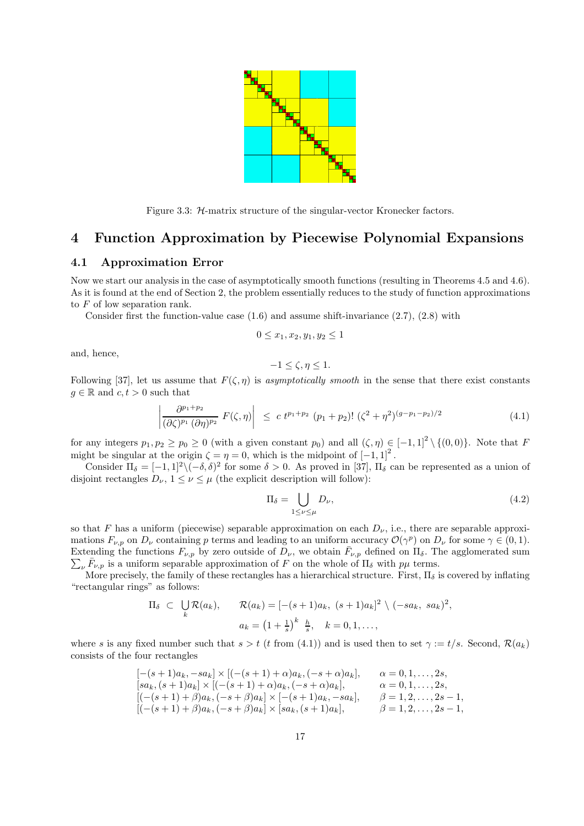

Figure 3.3: H-matrix structure of the singular-vector Kronecker factors.

## **4 Function Approximation by Piecewise Polynomial Expansions**

## **4.1 Approximation Error**

Now we start our analysis in the case of asymptotically smooth functions (resulting in Theorems 4.5 and 4.6). As it is found at the end of Section 2, the problem essentially reduces to the study of function approximations to F of low separation rank.

Consider first the function-value case  $(1.6)$  and assume shift-invariance  $(2.7)$ ,  $(2.8)$  with

$$
0 \le x_1, x_2, y_1, y_2 \le 1
$$

and, hence,

$$
-1 \le \zeta, \eta \le 1.
$$

Following [37], let us assume that  $F(\zeta,\eta)$  is *asymptotically smooth* in the sense that there exist constants  $g \in \mathbb{R}$  and  $c, t > 0$  such that

$$
\left| \frac{\partial^{p_1+p_2}}{(\partial \zeta)^{p_1} (\partial \eta)^{p_2}} F(\zeta, \eta) \right| \leq c \ t^{p_1+p_2} (p_1+p_2)! \ (\zeta^2+\eta^2)^{(g-p_1-p_2)/2}
$$
\n(4.1)

for any integers  $p_1, p_2 \geq p_0 \geq 0$  (with a given constant  $p_0$ ) and all  $(\zeta, \eta) \in [-1, 1]^2 \setminus \{(0, 0)\}$ . Note that F might be singular at the origin  $\zeta = \eta = 0$ , which is the midpoint of  $[-1, 1]^2$ .

Consider  $\Pi_{\delta} = [-1, 1]^2 \setminus (-\delta, \delta)^2$  for some  $\delta > 0$ . As proved in [37],  $\Pi_{\delta}$  can be represented as a union of disjoint rectangles  $D_{\nu}$ ,  $1 \leq \nu \leq \mu$  (the explicit description will follow):

$$
\Pi_{\delta} = \bigcup_{1 \le \nu \le \mu} D_{\nu},\tag{4.2}
$$

so that F has a uniform (piecewise) separable approximation on each  $D_{\nu}$ , i.e., there are separable approximations  $F_{\nu,p}$  on  $D_{\nu}$  containing p terms and leading to an uniform accuracy  $\mathcal{O}(\gamma^p)$  on  $D_{\nu}$  for some  $\gamma \in (0,1)$ . Extending the functions  $F_{\nu,p}$  by zero outside of  $D_{\nu}$ , we obtain  $\bar{F}_{\nu,p}$  defined on  $\Pi_{\delta}$ . The agglomerated sum  $\sum_{\mu} \bar{F}_{\nu,p}$  is a uniform separable approximation of F on the whole of  $\Pi_{\delta}$  with  $p\mu$  terms.

More precisely, the family of these rectangles has a hierarchical structure. First,  $\Pi_{\delta}$  is covered by inflating "rectangular rings" as follows:

$$
\Pi_{\delta} \subset \bigcup_{k} \mathcal{R}(a_k), \qquad \mathcal{R}(a_k) = \left[ -(s+1)a_k, (s+1)a_k \right]^2 \setminus (-sa_k, sa_k)^2,
$$

$$
a_k = \left( 1 + \frac{1}{s} \right)^k \frac{h}{s}, \quad k = 0, 1, \dots,
$$

where s is any fixed number such that  $s > t$  (t from (4.1)) and is used then to set  $\gamma := t/s$ . Second,  $\mathcal{R}(a_k)$ consists of the four rectangles

$$
[-(s+1)a_k, -sa_k] \times [(-(s+1)+\alpha)a_k, (-s+\alpha)a_k], \qquad \alpha = 0, 1, ..., 2s,
$$
  
\n
$$
[sa_k, (s+1)a_k] \times [(-(s+1)+\alpha)a_k, (-s+\alpha)a_k], \qquad \alpha = 0, 1, ..., 2s,
$$
  
\n
$$
[(-(s+1)+\beta)a_k, (-s+\beta)a_k] \times [-(s+1)a_k, -sa_k], \qquad \beta = 1, 2, ..., 2s-1,
$$
  
\n
$$
[(-(s+1)+\beta)a_k, (-s+\beta)a_k] \times [sa_k, (s+1)a_k], \qquad \beta = 1, 2, ..., 2s-1,
$$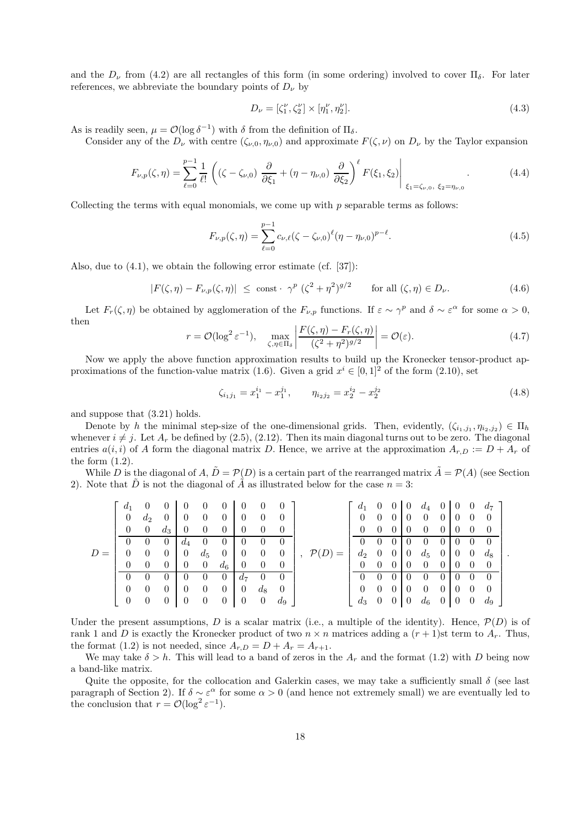and the  $D_{\nu}$  from (4.2) are all rectangles of this form (in some ordering) involved to cover  $\Pi_{\delta}$ . For later references, we abbreviate the boundary points of  $D_{\nu}$  by

$$
D_{\nu} = [\zeta_1^{\nu}, \zeta_2^{\nu}] \times [\eta_1^{\nu}, \eta_2^{\nu}]. \tag{4.3}
$$

As is readily seen,  $\mu = \mathcal{O}(\log \delta^{-1})$  with  $\delta$  from the definition of  $\Pi_{\delta}$ .

Consider any of the  $D_{\nu}$  with centre  $(\zeta_{\nu,0}, \eta_{\nu,0})$  and approximate  $F(\zeta,\nu)$  on  $D_{\nu}$  by the Taylor expansion

$$
F_{\nu,p}(\zeta,\eta) = \sum_{\ell=0}^{p-1} \frac{1}{\ell!} \left( (\zeta - \zeta_{\nu,0}) \frac{\partial}{\partial \xi_1} + (\eta - \eta_{\nu,0}) \frac{\partial}{\partial \xi_2} \right)^{\ell} F(\xi_1, \xi_2) \Big|_{\xi_1 = \zeta_{\nu,0}, \xi_2 = \eta_{\nu,0}}.
$$
(4.4)

Collecting the terms with equal monomials, we come up with  $p$  separable terms as follows:

$$
F_{\nu,p}(\zeta,\eta) = \sum_{\ell=0}^{p-1} c_{\nu,\ell} (\zeta - \zeta_{\nu,0})^{\ell} (\eta - \eta_{\nu,0})^{p-\ell}.
$$
\n(4.5)

Also, due to (4.1), we obtain the following error estimate (cf. [37]):

$$
|F(\zeta,\eta) - F_{\nu,p}(\zeta,\eta)| \le \text{const} \cdot \gamma^p \left(\zeta^2 + \eta^2\right)^{g/2} \qquad \text{for all } (\zeta,\eta) \in D_{\nu}. \tag{4.6}
$$

Let  $F_r(\zeta,\eta)$  be obtained by agglomeration of the  $F_{\nu,p}$  functions. If  $\varepsilon \sim \gamma^p$  and  $\delta \sim \varepsilon^\alpha$  for some  $\alpha > 0$ , then

$$
r = \mathcal{O}(\log^2 \varepsilon^{-1}), \quad \max_{\zeta, \eta \in \Pi_{\delta}} \left| \frac{F(\zeta, \eta) - F_r(\zeta, \eta)}{(\zeta^2 + \eta^2)^{g/2}} \right| = \mathcal{O}(\varepsilon). \tag{4.7}
$$

Now we apply the above function approximation results to build up the Kronecker tensor-product approximations of the function-value matrix (1.6). Given a grid  $x^i \in [0,1]^2$  of the form (2.10), set

$$
\zeta_{i_1 j_1} = x_1^{i_1} - x_1^{j_1}, \qquad \eta_{i_2 j_2} = x_2^{i_2} - x_2^{j_2}
$$
\n(4.8)

and suppose that (3.21) holds.

Denote by h the minimal step-size of the one-dimensional grids. Then, evidently,  $(\zeta_{i_1,j_1}, \eta_{i_2,j_2}) \in \Pi_h$ whenever  $i \neq j$ . Let  $A_r$  be defined by (2.5), (2.12). Then its main diagonal turns out to be zero. The diagonal entries  $a(i, i)$  of A form the diagonal matrix D. Hence, we arrive at the approximation  $A_{r,D} := D + A_r$  of the form  $(1.2)$ .

While D is the diagonal of A,  $\tilde{D} = \mathcal{P}(D)$  is a certain part of the rearranged matrix  $\tilde{A} = \mathcal{P}(A)$  (see Section 2). Note that  $\tilde{D}$  is not the diagonal of  $\tilde{A}$  as illustrated below for the case  $n = 3$ :

|       | $d_1$           |                                  |  |                                                                      |  |                                   |                                                                              | $d_1$ 0 0 0 $d_4$ 0 0 0 $d_7$       |  |                                     |  |  |  |
|-------|-----------------|----------------------------------|--|----------------------------------------------------------------------|--|-----------------------------------|------------------------------------------------------------------------------|-------------------------------------|--|-------------------------------------|--|--|--|
|       | $\overline{0}$  |                                  |  | $d_2$ 0 0 0 0 0 0 0                                                  |  | $\overline{0}$                    |                                                                              |                                     |  | $0 \t0 \t0 \t0 \t0 \t0 \t0 \t0 \t0$ |  |  |  |
|       | $\overline{0}$  |                                  |  | $\begin{array}{ccccccc} 0 & d_3 & 0 & 0 & 0 & 0 & 0 \end{array}$     |  | $\overline{0}$                    |                                                                              |                                     |  | $0 \t0 \t0 \t0 \t0 \t0 \t0 \t0 \t0$ |  |  |  |
|       |                 |                                  |  | 0 0 $d_4$ 0 0 0 0 0                                                  |  |                                   |                                                                              |                                     |  | $0 \t0 \t0 \t0 \t0 \t0 \t0 \t0 \t0$ |  |  |  |
| $D =$ | $\overline{0}$  | $\overline{0}$                   |  |                                                                      |  |                                   | $0 \mid 0 \quad d_5 \quad 0 \mid 0 \quad 0 \quad 0 \mid, \ \mathcal{P}(D) =$ |                                     |  | $d_2$ 0 0 0 $d_5$ 0 0 0 $d_8$       |  |  |  |
|       | $\vert 0 \vert$ | $\begin{array}{c} 0 \end{array}$ |  | $0 \quad 0 \quad 0 \quad d_6 \quad 0 \quad 0$                        |  | $\overline{0}$                    |                                                                              |                                     |  | $0 \t0 \t0 \t0 \t0 \t0 \t0 \t0 \t0$ |  |  |  |
|       |                 | $\begin{array}{c} 0 \end{array}$ |  | $0 \quad 0 \quad 0 \quad 0 \quad d_7 \quad 0 \quad 0$                |  |                                   |                                                                              |                                     |  | $0 \t0 \t0 \t0 \t0 \t0 \t0 \t0$     |  |  |  |
|       | $\theta$        |                                  |  | $\begin{array}{ccccccc} 0 & 0 & 0 & 0 & 0 & 0 & 0 & d_8 \end{array}$ |  | $\hspace{0.1em} 0 \hspace{0.1em}$ |                                                                              | $0 \t0 \t0 \t0 \t0 \t0 \t0 \t0 \t0$ |  |                                     |  |  |  |
|       |                 |                                  |  | $0 \quad 0 \quad 0 \quad 0 \quad 0 \quad 0 \quad 0$                  |  | $d_9$                             |                                                                              |                                     |  | $d_3$ 0 0 0 $d_6$ 0 0 0 $d_9$       |  |  |  |

Under the present assumptions, D is a scalar matrix (i.e., a multiple of the identity). Hence,  $\mathcal{P}(D)$  is of rank 1 and D is exactly the Kronecker product of two  $n \times n$  matrices adding a  $(r + 1)$ st term to  $A_r$ . Thus, the format (1.2) is not needed, since  $A_{r,D} = D + A_r = A_{r+1}$ .

We may take  $\delta > h$ . This will lead to a band of zeros in the  $A_r$  and the format (1.2) with D being now a band-like matrix.

Quite the opposite, for the collocation and Galerkin cases, we may take a sufficiently small  $\delta$  (see last paragraph of Section 2). If  $\delta \sim \varepsilon^{\alpha}$  for some  $\alpha > 0$  (and hence not extremely small) we are eventually led to the conclusion that  $r = \mathcal{O}(\log^2 \varepsilon^{-1}).$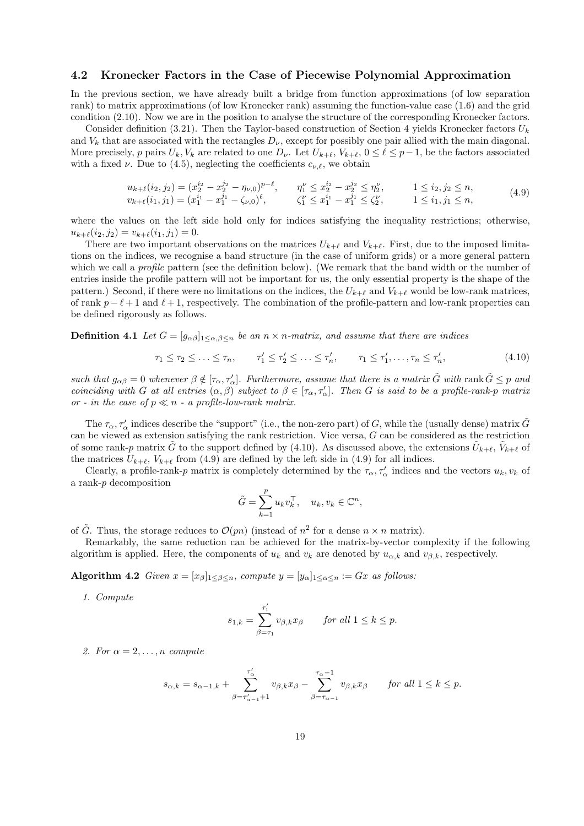## **4.2 Kronecker Factors in the Case of Piecewise Polynomial Approximation**

In the previous section, we have already built a bridge from function approximations (of low separation rank) to matrix approximations (of low Kronecker rank) assuming the function-value case (1.6) and the grid condition (2.10). Now we are in the position to analyse the structure of the corresponding Kronecker factors.

Consider definition (3.21). Then the Taylor-based construction of Section 4 yields Kronecker factors  $U_k$ and  $V_k$  that are associated with the rectangles  $D_{\nu}$ , except for possibly one pair allied with the main diagonal. More precisely, p pairs  $U_k$ ,  $V_k$  are related to one  $D_{\nu}$ . Let  $U_{k+\ell}$ ,  $V_{k+\ell}$ ,  $0 \leq \ell \leq p-1$ , be the factors associated with a fixed  $\nu$ . Due to (4.5), neglecting the coefficients  $c_{\nu,\ell}$ , we obtain

$$
u_{k+\ell}(i_2, j_2) = (x_2^{i_2} - x_2^{j_2} - \eta_{\nu,0})^{p-\ell}, \qquad \eta_1^{\nu} \le x_2^{i_2} - x_2^{j_2} \le \eta_2^{\nu}, \qquad 1 \le i_2, j_2 \le n, \nv_{k+\ell}(i_1, j_1) = (x_1^{i_1} - x_1^{j_1} - \zeta_{\nu,0})^{\ell}, \qquad \zeta_1^{\nu} \le x_1^{i_1} - x_1^{j_1} \le \zeta_2^{\nu}, \qquad 1 \le i_1, j_1 \le n, \qquad (4.9)
$$

where the values on the left side hold only for indices satisfying the inequality restrictions; otherwise,  $u_{k+\ell}(i_2, j_2) = v_{k+\ell}(i_1, j_1) = 0.$ 

There are two important observations on the matrices  $U_{k+\ell}$  and  $V_{k+\ell}$ . First, due to the imposed limitations on the indices, we recognise a band structure (in the case of uniform grids) or a more general pattern which we call a *profile* pattern (see the definition below). (We remark that the band width or the number of entries inside the profile pattern will not be important for us, the only essential property is the shape of the pattern.) Second, if there were no limitations on the indices, the  $U_{k+\ell}$  and  $V_{k+\ell}$  would be low-rank matrices, of rank  $p - \ell + 1$  and  $\ell + 1$ , respectively. The combination of the profile-pattern and low-rank properties can be defined rigorously as follows.

**Definition 4.1** *Let*  $G = [g_{\alpha\beta}]_{1\leq \alpha,\beta\leq n}$  *be an*  $n \times n$ *-matrix, and assume that there are indices* 

$$
\tau_1 \leq \tau_2 \leq \ldots \leq \tau_n, \qquad \tau_1' \leq \tau_2' \leq \ldots \leq \tau_n', \qquad \tau_1 \leq \tau_1', \ldots, \tau_n \leq \tau_n', \tag{4.10}
$$

 $such that g_{\alpha\beta} = 0$  whenever  $\beta \notin [\tau_\alpha, \tau'_\alpha]$ . Furthermore, assume that there is a matrix  $\tilde{G}$  with rank  $\tilde{G} \leq p$  and *coinciding with* G at all entries  $(\alpha, \beta)$  *subject to*  $\beta \in [\tau_\alpha, \tau'_\alpha]$ . Then G is said to be a profile-rank-p matrix *or - in the case of*  $p \ll n$  *- a profile-low-rank matrix.* 

The  $\tau_{\alpha}, \tau'_{\alpha}$  indices describe the "support" (i.e., the non-zero part) of G, while the (usually dense) matrix  $\tilde{G}$ can be viewed as extension satisfying the rank restriction. Vice versa, G can be considered as the restriction of some rank-p matrix G to the support defined by (4.10). As discussed above, the extensions  $U_{k+\ell}$ ,  $V_{k+\ell}$  of the matrices  $U_{k+\ell}$ ,  $V_{k+\ell}$  from (4.9) are defined by the left side in (4.9) for all indices.

Clearly, a profile-rank-p matrix is completely determined by the  $\tau_{\alpha}, \tau_{\alpha}'$  indices and the vectors  $u_k, v_k$  of a rank-p decomposition

$$
\tilde{G} = \sum_{k=1}^p u_k v_k^{\top}, \quad u_k, v_k \in \mathbb{C}^n,
$$

of  $\tilde{G}$ . Thus, the storage reduces to  $\mathcal{O}(pn)$  (instead of  $n^2$  for a dense  $n \times n$  matrix).

Remarkably, the same reduction can be achieved for the matrix-by-vector complexity if the following algorithm is applied. Here, the components of  $u_k$  and  $v_k$  are denoted by  $u_{\alpha,k}$  and  $v_{\beta,k}$ , respectively.

**Algorithm 4.2** *Given*  $x = [x_{\beta}]_{1 \leq \beta \leq n}$ , *compute*  $y = [y_{\alpha}]_{1 \leq \alpha \leq n} := Gx$  *as follows:* 

*1. Compute*

$$
s_{1,k} = \sum_{\beta=\tau_1}^{\tau_1'} v_{\beta,k} x_{\beta} \quad \text{for all } 1 \le k \le p.
$$

2. For  $\alpha = 2, \ldots, n$  *compute* 

$$
s_{\alpha,k} = s_{\alpha-1,k} + \sum_{\beta=\tau'_{\alpha-1}+1}^{\tau'_{\alpha}} v_{\beta,k} x_{\beta} - \sum_{\beta=\tau_{\alpha-1}}^{\tau_{\alpha}-1} v_{\beta,k} x_{\beta} \quad \text{for all } 1 \leq k \leq p.
$$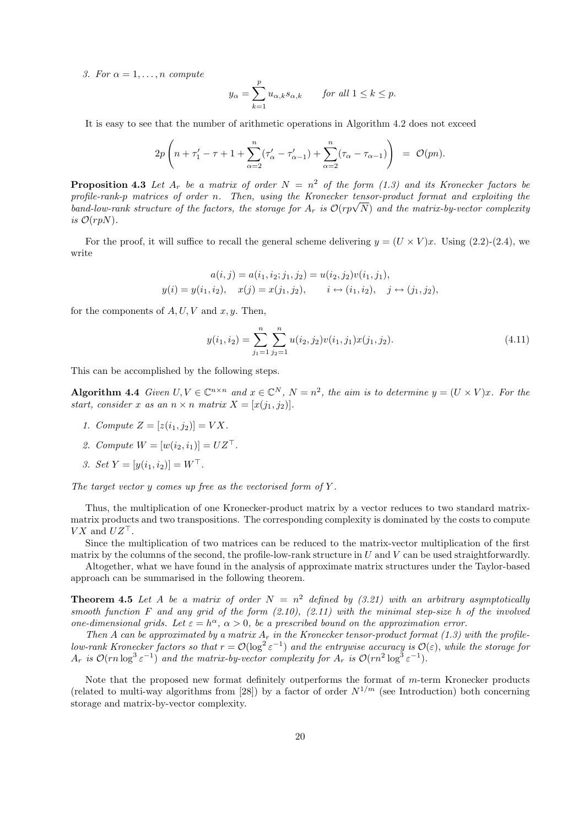*3. For*  $\alpha = 1, \ldots, n$  *compute* 

$$
y_{\alpha} = \sum_{k=1}^{p} u_{\alpha,k} s_{\alpha,k}
$$
 for all  $1 \le k \le p$ .

It is easy to see that the number of arithmetic operations in Algorithm 4.2 does not exceed

$$
2p\left(n+\tau_1'-\tau+1+\sum_{\alpha=2}^n(\tau_{\alpha}'-\tau_{\alpha-1}')+\sum_{\alpha=2}^n(\tau_{\alpha}-\tau_{\alpha-1})\right) = \mathcal{O}(pn).
$$

**Proposition 4.3** Let  $A_r$  be a matrix of order  $N = n^2$  of the form (1.3) and its Kronecker factors be *profile-rank-*p *matrices of order* n*. Then, using the Kronecker tensor-product format and exploiting the band-low-rank structure of the factors, the storage for*  $A_r$  *is*  $\mathcal{O}(rp\sqrt{N})$  *and the matrix-by-vector complexity is*  $\mathcal{O}(rpN)$ .

For the proof, it will suffice to recall the general scheme delivering  $y = (U \times V)x$ . Using (2.2)-(2.4), we write

$$
a(i, j) = a(i_1, i_2; j_1, j_2) = u(i_2, j_2)v(i_1, j_1),
$$
  

$$
y(i) = y(i_1, i_2), \quad x(j) = x(j_1, j_2), \quad i \leftrightarrow (i_1, i_2), \quad j \leftrightarrow (j_1, j_2),
$$

for the components of  $A, U, V$  and  $x, y$ . Then,

$$
y(i_1, i_2) = \sum_{j_1=1}^{n} \sum_{j_2=1}^{n} u(i_2, j_2) v(i_1, j_1) x(j_1, j_2).
$$
 (4.11)

This can be accomplished by the following steps.

**Algorithm 4.4** *Given*  $U, V \in \mathbb{C}^{n \times n}$  *and*  $x \in \mathbb{C}^{N}$ *,*  $N = n^{2}$ *, the aim is to determine*  $y = (U \times V)x$ *. For the start, consider* x *as an*  $n \times n$  *matrix*  $X = [x(j_1, j_2)].$ 

- *1. Compute*  $Z = [z(i_1, i_2)] = VX$ .
- 2. Compute  $W = [w(i_2, i_1)] = UZ^{\dagger}$ .
- *3. Set*  $Y = [y(i_1, i_2)] = W^{\perp}$ .

*The target vector* y *comes up free as the vectorised form of* Y *.*

Thus, the multiplication of one Kronecker-product matrix by a vector reduces to two standard matrixmatrix products and two transpositions. The corresponding complexity is dominated by the costs to compute  $V X$  and  $U Z^{\perp}$ .

Since the multiplication of two matrices can be reduced to the matrix-vector multiplication of the first matrix by the columns of the second, the profile-low-rank structure in  $U$  and  $V$  can be used straightforwardly.

Altogether, what we have found in the analysis of approximate matrix structures under the Taylor-based approach can be summarised in the following theorem.

**Theorem 4.5** Let A be a matrix of order  $N = n^2$  defined by (3.21) with an arbitrary asymptotically *smooth function* F *and any grid of the form (2.10), (2.11) with the minimal step-size* h *of the involved one-dimensional grids. Let*  $\varepsilon = h^{\alpha}, \alpha > 0$ , be a prescribed bound on the approximation error.

*Then* A can be approximated by a matrix  $A_r$  in the Kronecker tensor-product format (1.3) with the profile*low-rank Kronecker factors so that*  $r = \mathcal{O}(\log^2 \varepsilon^{-1})$  *and the entrywise accuracy is*  $\mathcal{O}(\varepsilon)$ *, while the storage for*  $A_r$  *is*  $\mathcal{O}(rn \log^3 \varepsilon^{-1})$  *and the matrix-by-vector complexity for*  $A_r$  *is*  $\mathcal{O}(rn^2 \log^3 \varepsilon^{-1})$ *.* 

Note that the proposed new format definitely outperforms the format of  $m$ -term Kronecker products (related to multi-way algorithms from [28]) by a factor of order  $N^{1/m}$  (see Introduction) both concerning storage and matrix-by-vector complexity.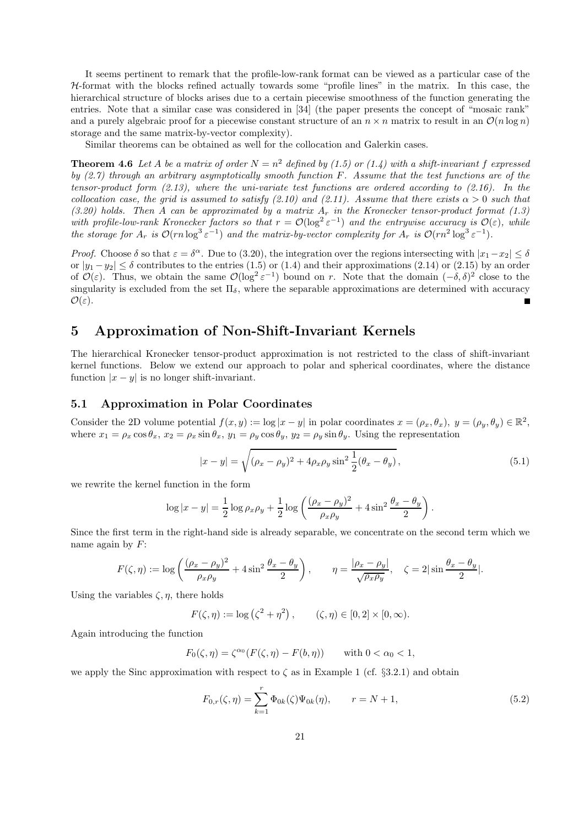It seems pertinent to remark that the profile-low-rank format can be viewed as a particular case of the  $H$ -format with the blocks refined actually towards some "profile lines" in the matrix. In this case, the hierarchical structure of blocks arises due to a certain piecewise smoothness of the function generating the entries. Note that a similar case was considered in [34] (the paper presents the concept of "mosaic rank" and a purely algebraic proof for a piecewise constant structure of an  $n \times n$  matrix to result in an  $\mathcal{O}(n \log n)$ storage and the same matrix-by-vector complexity).

Similar theorems can be obtained as well for the collocation and Galerkin cases.

**Theorem 4.6** Let A be a matrix of order  $N = n^2$  defined by (1.5) or (1.4) with a shift-invariant f expressed *by (2.7) through an arbitrary asymptotically smooth function* F*. Assume that the test functions are of the tensor-product form (2.13), where the uni-variate test functions are ordered according to (2.16). In the collocation case, the grid is assumed to satisfy (2.10) and (2.11). Assume that there exists*  $\alpha > 0$  *such that (3.20) holds. Then* A *can be approximated by a matrix* A<sup>r</sup> *in the Kronecker tensor-product format (1.3) with profile-low-rank Kronecker factors so that*  $r = \mathcal{O}(\log^2 \varepsilon^{-1})$  *and the entrywise accuracy is*  $\mathcal{O}(\varepsilon)$ *, while the storage for*  $A_r$  *is*  $\mathcal{O}(rn \log^3 \varepsilon^{-1})$  *and the matrix-by-vector complexity for*  $A_r$  *is*  $\mathcal{O}(rn^2 \log^3 \varepsilon^{-1})$ *.* 

*Proof.* Choose  $\delta$  so that  $\varepsilon = \delta^{\alpha}$ . Due to (3.20), the integration over the regions intersecting with  $|x_1-x_2| \leq \delta$ or  $|y_1 - y_2| \le \delta$  contributes to the entries (1.5) or (1.4) and their approximations (2.14) or (2.15) by an order of  $\mathcal{O}(\varepsilon)$ . Thus, we obtain the same  $\mathcal{O}(\log^2 \varepsilon^{-1})$  bound on r. Note that the domain  $(-\delta, \delta)^2$  close to the singularity is excluded from the set  $\Pi_{\delta}$ , where the separable approximations are determined with accuracy  $\mathcal{O}(\varepsilon)$ .  $\blacksquare$ 

## **5 Approximation of Non-Shift-Invariant Kernels**

The hierarchical Kronecker tensor-product approximation is not restricted to the class of shift-invariant kernel functions. Below we extend our approach to polar and spherical coordinates, where the distance function  $|x-y|$  is no longer shift-invariant.

#### **5.1 Approximation in Polar Coordinates**

Consider the 2D volume potential  $f(x, y) := \log |x - y|$  in polar coordinates  $x = (\rho_x, \theta_x), y = (\rho_y, \theta_y) \in \mathbb{R}^2$ , where  $x_1 = \rho_x \cos \theta_x$ ,  $x_2 = \rho_x \sin \theta_x$ ,  $y_1 = \rho_y \cos \theta_y$ ,  $y_2 = \rho_y \sin \theta_y$ . Using the representation

$$
|x - y| = \sqrt{(\rho_x - \rho_y)^2 + 4\rho_x \rho_y \sin^2 \frac{1}{2} (\theta_x - \theta_y)},
$$
\n(5.1)

we rewrite the kernel function in the form

$$
\log|x - y| = \frac{1}{2} \log \rho_x \rho_y + \frac{1}{2} \log \left( \frac{(\rho_x - \rho_y)^2}{\rho_x \rho_y} + 4 \sin^2 \frac{\theta_x - \theta_y}{2} \right).
$$

Since the first term in the right-hand side is already separable, we concentrate on the second term which we name again by  $F$ :

$$
F(\zeta, \eta) := \log \left( \frac{(\rho_x - \rho_y)^2}{\rho_x \rho_y} + 4 \sin^2 \frac{\theta_x - \theta_y}{2} \right), \qquad \eta = \frac{|\rho_x - \rho_y|}{\sqrt{\rho_x \rho_y}}, \quad \zeta = 2 |\sin \frac{\theta_x - \theta_y}{2}|.
$$

Using the variables  $\zeta$ ,  $\eta$ , there holds

$$
F(\zeta, \eta) := \log (\zeta^2 + \eta^2), \qquad (\zeta, \eta) \in [0, 2] \times [0, \infty).
$$

Again introducing the function

$$
F_0(\zeta, \eta) = \zeta^{\alpha_0}(F(\zeta, \eta) - F(b, \eta)) \quad \text{with } 0 < \alpha_0 < 1,
$$

we apply the Sinc approximation with respect to  $\zeta$  as in Example 1 (cf. §3.2.1) and obtain

$$
F_{0,r}(\zeta,\eta) = \sum_{k=1}^{r} \Phi_{0k}(\zeta) \Psi_{0k}(\eta), \qquad r = N+1,
$$
\n(5.2)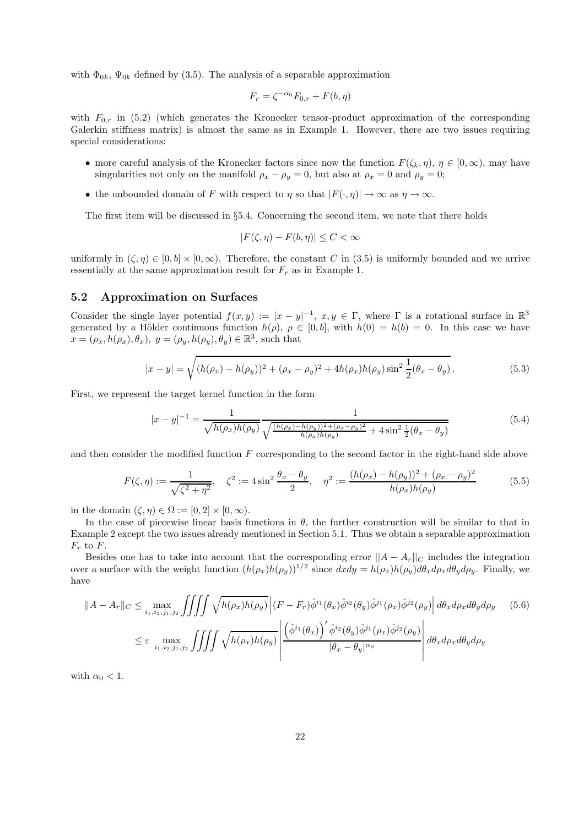with  $\Phi_{0k}$ ,  $\Psi_{0k}$  defined by (3.5). The analysis of a separable approximation

$$
F_r = \zeta^{-\alpha_0} F_{0,r} + F(b, \eta)
$$

with  $F_{0,r}$  in (5.2) (which generates the Kronecker tensor-product approximation of the corresponding Galerkin stiffness matrix) is almost the same as in Example 1. However, there are two issues requiring special considerations:

- more careful analysis of the Kronecker factors since now the function  $F(\zeta_k, \eta)$ ,  $\eta \in [0, \infty)$ , may have singularities not only on the manifold  $\rho_x - \rho_y = 0$ , but also at  $\rho_x = 0$  and  $\rho_y = 0$ ;
- the unbounded domain of F with respect to  $\eta$  so that  $|F(\cdot, \eta)| \to \infty$  as  $\eta \to \infty$ .

The first item will be discussed in §5.4. Concerning the second item, we note that there holds

$$
|F(\zeta, \eta) - F(b, \eta)| \le C < \infty
$$

uniformly in  $(\zeta,\eta) \in [0,b] \times [0,\infty)$ . Therefore, the constant C in (3.5) is uniformly bounded and we arrive essentially at the same approximation result for  $F_r$  as in Example 1.

#### **5.2 Approximation on Surfaces**

Consider the single layer potential  $f(x, y) := |x - y|^{-1}$ ,  $x, y \in \Gamma$ , where  $\Gamma$  is a rotational surface in  $\mathbb{R}^3$ generated by a Hölder continuous function  $h(\rho)$ ,  $\rho \in [0,b]$ , with  $h(0) = h(b) = 0$ . In this case we have  $x = (\rho_x, h(\rho_x), \theta_x), y = (\rho_y, h(\rho_y), \theta_y) \in \mathbb{R}^3$ , such that

$$
|x - y| = \sqrt{(h(\rho_x) - h(\rho_y))^2 + (\rho_x - \rho_y)^2 + 4h(\rho_x)h(\rho_y)\sin^2\frac{1}{2}(\theta_x - \theta_y)}.
$$
\n(5.3)

First, we represent the target kernel function in the form

$$
|x - y|^{-1} = \frac{1}{\sqrt{h(\rho_x)h(\rho_y)}} \frac{1}{\sqrt{\frac{(h(\rho_x) - h(\rho_y))^2 + (\rho_x - \rho_y)^2}{h(\rho_x)h(\rho_y)}} + 4\sin^2\frac{1}{2}(\theta_x - \theta_y)}
$$
(5.4)

and then consider the modified function  $F$  corresponding to the second factor in the right-hand side above

$$
F(\zeta, \eta) := \frac{1}{\sqrt{\zeta^2 + \eta^2}}, \quad \zeta^2 := 4\sin^2\frac{\theta_x - \theta_y}{2}, \quad \eta^2 := \frac{(h(\rho_x) - h(\rho_y))^2 + (\rho_x - \rho_y)^2}{h(\rho_x)h(\rho_y)}
$$
(5.5)

in the domain  $(\zeta,\eta) \in \Omega := [0,2] \times [0,\infty)$ .

In the case of piecewise linear basis functions in  $\theta$ , the further construction will be similar to that in Example 2 except the two issues already mentioned in Section 5.1. Thus we obtain a separable approximation  $F_r$  to  $F$ .

Besides one has to take into account that the corresponding error  $||A - A_r||_C$  includes the integration over a surface with the weight function  $(h(\rho_x)h(\rho_y))^{1/2}$  since  $dxdy = h(\rho_x)h(\rho_y)d\theta_x d\rho_x d\theta_y d\rho_y$ . Finally, we have

$$
||A - A_r||_C \le \max_{i_1, i_2, j_1, j_2} \iiint \sqrt{h(\rho_x)h(\rho_y)} \left| (F - F_r) \hat{\phi}^{i_1}(\theta_x) \hat{\phi}^{i_2}(\theta_y) \hat{\phi}^{j_1}(\rho_x) \hat{\phi}^{j_2}(\rho_y) \right| d\theta_x d\rho_x d\theta_y d\rho_y \quad (5.6)
$$
  

$$
\le \varepsilon \max_{i_1, i_2, j_1, j_2} \iiint \sqrt{h(\rho_x)h(\rho_y)} \left| \frac{\left(\hat{\phi}^{i_1}(\theta_x)\right) \hat{\phi}^{i_2}(\theta_y) \hat{\phi}^{j_1}(\rho_x) \hat{\phi}^{j_2}(\rho_y)}{|\theta_x - \theta_y|^{\alpha_0}} \right| d\theta_x d\rho_x d\theta_y d\rho_y
$$

with  $\alpha_0 < 1$ .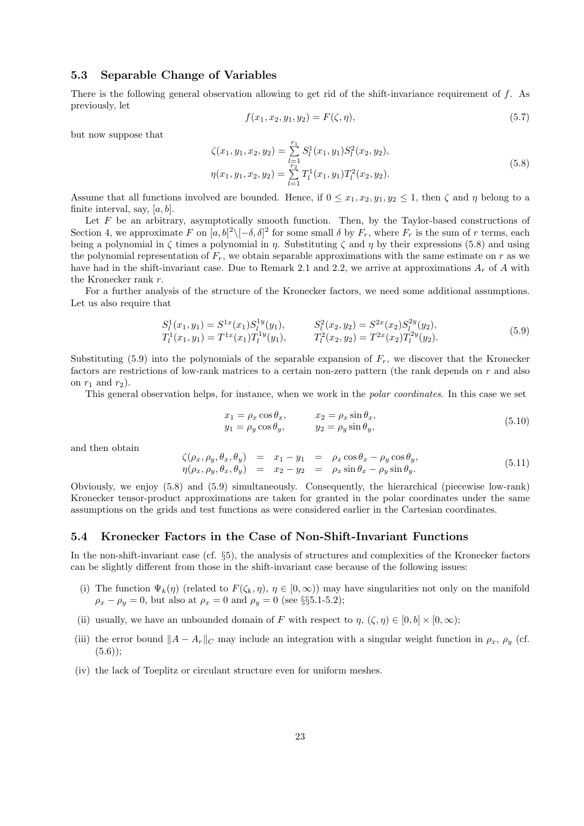## **5.3 Separable Change of Variables**

There is the following general observation allowing to get rid of the shift-invariance requirement of f. As previously, let

$$
f(x_1, x_2, y_1, y_2) = F(\zeta, \eta), \tag{5.7}
$$

but now suppose that

$$
\zeta(x_1, y_1, x_2, y_2) = \sum_{l=1}^{r_1} S_l^1(x_1, y_1) S_l^2(x_2, y_2),
$$
  
\n
$$
\eta(x_1, y_1, x_2, y_2) = \sum_{l=1}^{r_2} T_l^1(x_1, y_1) T_l^2(x_2, y_2).
$$
\n(5.8)

Assume that all functions involved are bounded. Hence, if  $0 \leq x_1, x_2, y_1, y_2 \leq 1$ , then  $\zeta$  and  $\eta$  belong to a finite interval, say,  $[a, b]$ .

Let  $F$  be an arbitrary, asymptotically smooth function. Then, by the Taylor-based constructions of Section 4, we approximate F on  $[a, b]^2 \setminus [-\delta, \delta]^2$  for some small  $\delta$  by  $F_r$ , where  $F_r$  is the sum of r terms, each being a polynomial in  $\zeta$  times a polynomial in  $\eta$ . Substituting  $\zeta$  and  $\eta$  by their expressions (5.8) and using the polynomial representation of  $F_r$ , we obtain separable approximations with the same estimate on r as we have had in the shift-invariant case. Due to Remark 2.1 and 2.2, we arrive at approximations  $A_r$  of A with the Kronecker rank r.

For a further analysis of the structure of the Kronecker factors, we need some additional assumptions. Let us also require that

$$
S_l^1(x_1, y_1) = S^{1x}(x_1) S_l^{1y}(y_1), \t S_l^2(x_2, y_2) = S^{2x}(x_2) S_l^{2y}(y_2), T_l^1(x_1, y_1) = T^{1x}(x_1) T_l^{1y}(y_1), \t T_l^2(x_2, y_2) = T^{2x}(x_2) T_l^{2y}(y_2).
$$
(5.9)

Substituting (5.9) into the polynomials of the separable expansion of  $F_r$ , we discover that the Kronecker factors are restrictions of low-rank matrices to a certain non-zero pattern (the rank depends on r and also on  $r_1$  and  $r_2$ ).

This general observation helps, for instance, when we work in the *polar coordinates*. In this case we set

$$
x_1 = \rho_x \cos \theta_x, \qquad x_2 = \rho_x \sin \theta_x, \n y_1 = \rho_y \cos \theta_y, \qquad y_2 = \rho_y \sin \theta_y,
$$
\n(5.10)

and then obtain

$$
\zeta(\rho_x, \rho_y, \theta_x, \theta_y) = x_1 - y_1 = \rho_x \cos \theta_x - \rho_y \cos \theta_y, \n\eta(\rho_x, \rho_y, \theta_x, \theta_y) = x_2 - y_2 = \rho_x \sin \theta_x - \rho_y \sin \theta_y.
$$
\n(5.11)

Obviously, we enjoy (5.8) and (5.9) simultaneously. Consequently, the hierarchical (piecewise low-rank) Kronecker tensor-product approximations are taken for granted in the polar coordinates under the same assumptions on the grids and test functions as were considered earlier in the Cartesian coordinates.

#### **5.4 Kronecker Factors in the Case of Non-Shift-Invariant Functions**

In the non-shift-invariant case (cf. §5), the analysis of structures and complexities of the Kronecker factors can be slightly different from those in the shift-invariant case because of the following issues:

- (i) The function  $\Psi_k(\eta)$  (related to  $F(\zeta_k, \eta), \eta \in [0, \infty)$ ) may have singularities not only on the manifold  $\rho_x - \rho_y = 0$ , but also at  $\rho_x = 0$  and  $\rho_y = 0$  (see §§5.1-5.2);
- (ii) usually, we have an unbounded domain of F with respect to  $\eta$ ,  $(\zeta, \eta) \in [0, b] \times [0, \infty)$ ;
- (iii) the error bound  $||A A_r||_C$  may include an integration with a singular weight function in  $\rho_x$ ,  $\rho_y$  (cf.  $(5.6)$ :
- (iv) the lack of Toeplitz or circulant structure even for uniform meshes.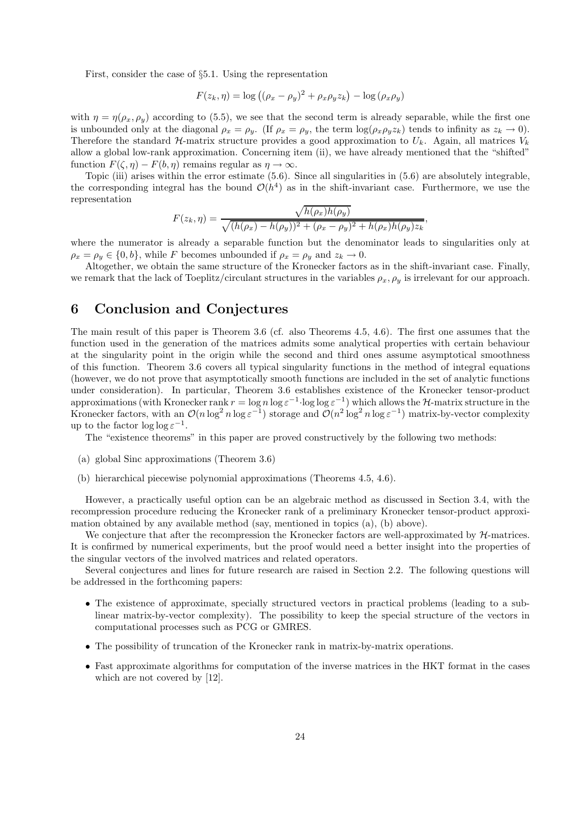First, consider the case of §5.1. Using the representation

$$
F(z_k, \eta) = \log ((\rho_x - \rho_y)^2 + \rho_x \rho_y z_k) - \log (\rho_x \rho_y)
$$

with  $\eta = \eta(\rho_x, \rho_y)$  according to (5.5), we see that the second term is already separable, while the first one is unbounded only at the diagonal  $\rho_x = \rho_y$ . (If  $\rho_x = \rho_y$ , the term  $\log(\rho_x \rho_y z_k)$  tends to infinity as  $z_k \to 0$ ). Therefore the standard H-matrix structure provides a good approximation to  $U_k$ . Again, all matrices  $V_k$ allow a global low-rank approximation. Concerning item (ii), we have already mentioned that the "shifted" function  $F(\zeta, \eta) - F(b, \eta)$  remains regular as  $\eta \to \infty$ .

Topic (iii) arises within the error estimate (5.6). Since all singularities in (5.6) are absolutely integrable, the corresponding integral has the bound  $\mathcal{O}(h^4)$  as in the shift-invariant case. Furthermore, we use the representation

$$
F(z_k, \eta) = \frac{\sqrt{h(\rho_x)h(\rho_y)}}{\sqrt{(h(\rho_x) - h(\rho_y))^2 + (\rho_x - \rho_y)^2 + h(\rho_x)h(\rho_y)z_k}},
$$

where the numerator is already a separable function but the denominator leads to singularities only at  $\rho_x = \rho_y \in \{0, b\}$ , while F becomes unbounded if  $\rho_x = \rho_y$  and  $z_k \to 0$ .

Altogether, we obtain the same structure of the Kronecker factors as in the shift-invariant case. Finally, we remark that the lack of Toeplitz/circulant structures in the variables  $\rho_x$ ,  $\rho_y$  is irrelevant for our approach.

## **6 Conclusion and Conjectures**

The main result of this paper is Theorem 3.6 (cf. also Theorems 4.5, 4.6). The first one assumes that the function used in the generation of the matrices admits some analytical properties with certain behaviour at the singularity point in the origin while the second and third ones assume asymptotical smoothness of this function. Theorem 3.6 covers all typical singularity functions in the method of integral equations (however, we do not prove that asymptotically smooth functions are included in the set of analytic functions under consideration). In particular, Theorem 3.6 establishes existence of the Kronecker tensor-product approximations (with Kronecker rank  $r = \log n \log \varepsilon^{-1} \cdot \log \log \varepsilon^{-1}$ ) which allows the H-matrix structure in the Kronecker factors, with an  $\mathcal{O}(n \log^2 n \log \varepsilon^{-1})$  storage and  $\mathcal{O}(n^2 \log^2 n \log \varepsilon^{-1})$  matrix-by-vector complexity up to the factor  $\log \log \epsilon^{-1}$ .

The "existence theorems" in this paper are proved constructively by the following two methods:

- (a) global Sinc approximations (Theorem 3.6)
- (b) hierarchical piecewise polynomial approximations (Theorems 4.5, 4.6).

However, a practically useful option can be an algebraic method as discussed in Section 3.4, with the recompression procedure reducing the Kronecker rank of a preliminary Kronecker tensor-product approximation obtained by any available method (say, mentioned in topics (a), (b) above).

We conjecture that after the recompression the Kronecker factors are well-approximated by  $H$ -matrices. It is confirmed by numerical experiments, but the proof would need a better insight into the properties of the singular vectors of the involved matrices and related operators.

Several conjectures and lines for future research are raised in Section 2.2. The following questions will be addressed in the forthcoming papers:

- The existence of approximate, specially structured vectors in practical problems (leading to a sublinear matrix-by-vector complexity). The possibility to keep the special structure of the vectors in computational processes such as PCG or GMRES.
- The possibility of truncation of the Kronecker rank in matrix-by-matrix operations.
- Fast approximate algorithms for computation of the inverse matrices in the HKT format in the cases which are not covered by [12].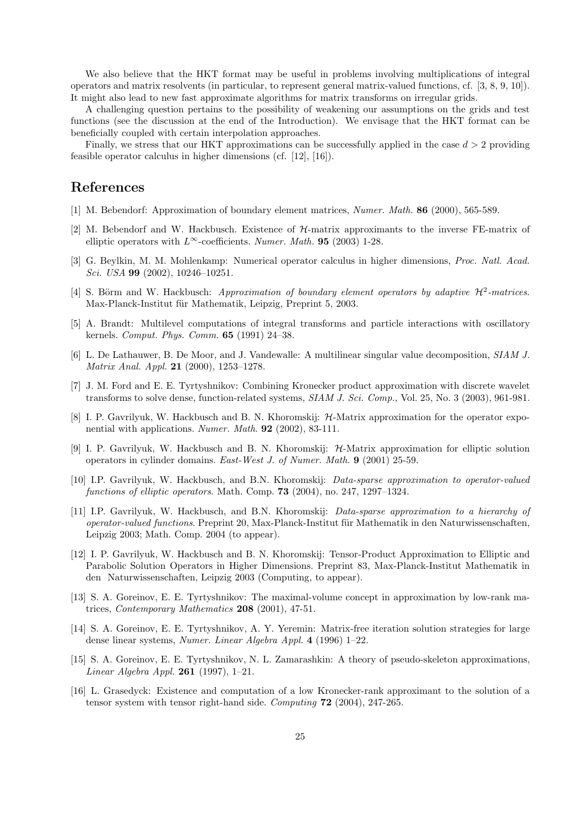We also believe that the HKT format may be useful in problems involving multiplications of integral operators and matrix resolvents (in particular, to represent general matrix-valued functions, cf. [3, 8, 9, 10]). It might also lead to new fast approximate algorithms for matrix transforms on irregular grids.

A challenging question pertains to the possibility of weakening our assumptions on the grids and test functions (see the discussion at the end of the Introduction). We envisage that the HKT format can be beneficially coupled with certain interpolation approaches.

Finally, we stress that our HKT approximations can be successfully applied in the case  $d > 2$  providing feasible operator calculus in higher dimensions (cf. [12], [16]).

## **References**

- [1] M. Bebendorf: Approximation of boundary element matrices, *Numer. Math.* **86** (2000), 565-589.
- [2] M. Bebendorf and W. Hackbusch. Existence of H-matrix approximants to the inverse FE-matrix of elliptic operators with  $L^{\infty}$ -coefficients. *Numer. Math.* **95** (2003) 1-28.
- [3] G. Beylkin, M. M. Mohlenkamp: Numerical operator calculus in higher dimensions, *Proc. Natl. Acad. Sci. USA* **99** (2002), 10246–10251.
- [4] S. Börm and W. Hackbusch: *Approximation of boundary element operators by adaptive*  $\mathcal{H}^2$ -matrices. Max-Planck-Institut für Mathematik, Leipzig, Preprint 5, 2003.
- [5] A. Brandt: Multilevel computations of integral transforms and particle interactions with oscillatory kernels. *Comput. Phys. Comm.* **65** (1991) 24–38.
- [6] L. De Lathauwer, B. De Moor, and J. Vandewalle: A multilinear singular value decomposition, *SIAM J. Matrix Anal. Appl.* **21** (2000), 1253–1278.
- [7] J. M. Ford and E. E. Tyrtyshnikov: Combining Kronecker product approximation with discrete wavelet transforms to solve dense, function-related systems, *SIAM J. Sci. Comp.*, Vol. 25, No. 3 (2003), 961-981.
- [8] I. P. Gavrilyuk, W. Hackbusch and B. N. Khoromskij:  $H$ -Matrix approximation for the operator exponential with applications. *Numer. Math*. **92** (2002), 83-111.
- [9] I. P. Gavrilyuk, W. Hackbusch and B. N. Khoromskij: H-Matrix approximation for elliptic solution operators in cylinder domains. *East-West J. of Numer. Math.* **9** (2001) 25-59.
- [10] I.P. Gavrilyuk, W. Hackbusch, and B.N. Khoromskij: *Data-sparse approximation to operator-valued functions of elliptic operators*. Math. Comp. **73** (2004), no. 247, 1297–1324.
- [11] I.P. Gavrilyuk, W. Hackbusch, and B.N. Khoromskij: *Data-sparse approximation to a hierarchy of operator-valued functions*. Preprint 20, Max-Planck-Institut für Mathematik in den Naturwissenschaften, Leipzig 2003; Math. Comp. 2004 (to appear).
- [12] I. P. Gavrilyuk, W. Hackbusch and B. N. Khoromskij: Tensor-Product Approximation to Elliptic and Parabolic Solution Operators in Higher Dimensions. Preprint 83, Max-Planck-Institut Mathematik in den Naturwissenschaften, Leipzig 2003 (Computing, to appear).
- [13] S. A. Goreinov, E. E. Tyrtyshnikov: The maximal-volume concept in approximation by low-rank matrices, *Contemporary Mathematics* **208** (2001), 47-51.
- [14] S. A. Goreinov, E. E. Tyrtyshnikov, A. Y. Yeremin: Matrix-free iteration solution strategies for large dense linear systems, *Numer. Linear Algebra Appl.* **4** (1996) 1–22.
- [15] S. A. Goreinov, E. E. Tyrtyshnikov, N. L. Zamarashkin: A theory of pseudo-skeleton approximations, *Linear Algebra Appl.* **261** (1997), 1–21.
- [16] L. Grasedyck: Existence and computation of a low Kronecker-rank approximant to the solution of a tensor system with tensor right-hand side. *Computing* **72** (2004), 247-265.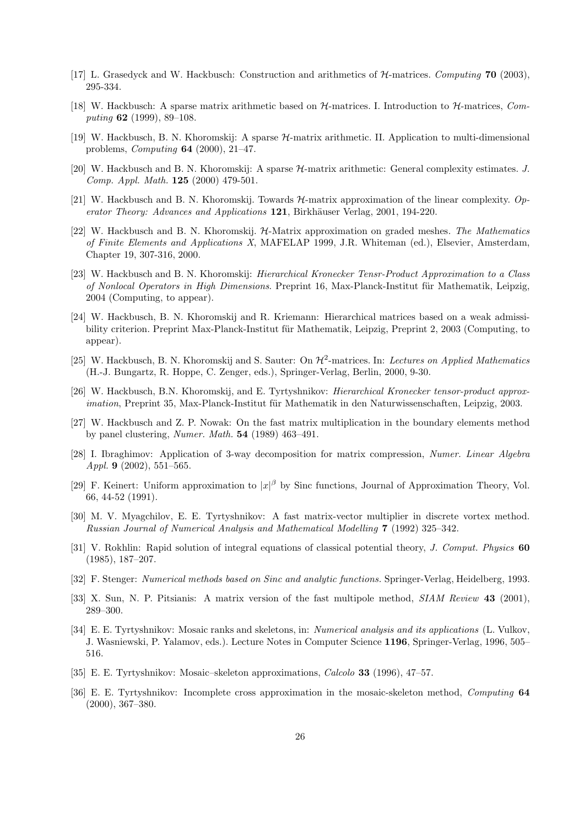- [17] L. Grasedyck and W. Hackbusch: Construction and arithmetics of H-matrices. *Computing* **70** (2003), 295-334.
- [18] W. Hackbusch: A sparse matrix arithmetic based on H-matrices. I. Introduction to H-matrices, *Computing* **62** (1999), 89–108.
- [19] W. Hackbusch, B. N. Khoromskij: A sparse H-matrix arithmetic. II. Application to multi-dimensional problems, *Computing* **64** (2000), 21–47.
- [20] W. Hackbusch and B. N. Khoromskij: A sparse H-matrix arithmetic: General complexity estimates. *J. Comp. Appl. Math.* **125** (2000) 479-501.
- [21] W. Hackbusch and B. N. Khoromskij. Towards H-matrix approximation of the linear complexity. *Operator Theory: Advances and Applications* **121**, Birkhäuser Verlag, 2001, 194-220.
- [22] W. Hackbusch and B. N. Khoromskij. H-Matrix approximation on graded meshes*. The Mathematics of Finite Elements and Applications X*, MAFELAP 1999, J.R. Whiteman (ed.), Elsevier, Amsterdam, Chapter 19, 307-316, 2000.
- [23] W. Hackbusch and B. N. Khoromskij: *Hierarchical Kronecker Tensr-Product Approximation to a Class of Nonlocal Operators in High Dimensions*. Preprint 16, Max-Planck-Institut für Mathematik, Leipzig, 2004 (Computing, to appear).
- [24] W. Hackbusch, B. N. Khoromskij and R. Kriemann: Hierarchical matrices based on a weak admissibility criterion. Preprint Max-Planck-Institut für Mathematik, Leipzig, Preprint 2, 2003 (Computing, to appear).
- [25] W. Hackbusch, B. N. Khoromskij and S. Sauter: On H2-matrices. In: *Lectures on Applied Mathematics* (H.-J. Bungartz, R. Hoppe, C. Zenger, eds.), Springer-Verlag, Berlin, 2000, 9-30.
- [26] W. Hackbusch, B.N. Khoromskij, and E. Tyrtyshnikov: *Hierarchical Kronecker tensor-product approximation*, Preprint 35, Max-Planck-Institut für Mathematik in den Naturwissenschaften, Leipzig, 2003.
- [27] W. Hackbusch and Z. P. Nowak: On the fast matrix multiplication in the boundary elements method by panel clustering, *Numer. Math.* **54** (1989) 463–491.
- [28] I. Ibraghimov: Application of 3-way decomposition for matrix compression, *Numer. Linear Algebra Appl.* **9** (2002), 551–565.
- [29] F. Keinert: Uniform approximation to  $|x|^\beta$  by Sinc functions, Journal of Approximation Theory, Vol. 66, 44-52 (1991).
- [30] M. V. Myagchilov, E. E. Tyrtyshnikov: A fast matrix-vector multiplier in discrete vortex method. *Russian Journal of Numerical Analysis and Mathematical Modelling* **7** (1992) 325–342.
- [31] V. Rokhlin: Rapid solution of integral equations of classical potential theory, *J. Comput. Physics* **60** (1985), 187–207.
- [32] F. Stenger: *Numerical methods based on Sinc and analytic functions.* Springer-Verlag, Heidelberg, 1993.
- [33] X. Sun, N. P. Pitsianis: A matrix version of the fast multipole method, *SIAM Review* **43** (2001), 289–300.
- [34] E. E. Tyrtyshnikov: Mosaic ranks and skeletons, in: *Numerical analysis and its applications* (L. Vulkov, J. Wasniewski, P. Yalamov, eds.). Lecture Notes in Computer Science **1196**, Springer-Verlag, 1996, 505– 516.
- [35] E. E. Tyrtyshnikov: Mosaic–skeleton approximations, *Calcolo* **33** (1996), 47–57.
- [36] E. E. Tyrtyshnikov: Incomplete cross approximation in the mosaic-skeleton method, *Computing* **64** (2000), 367–380.